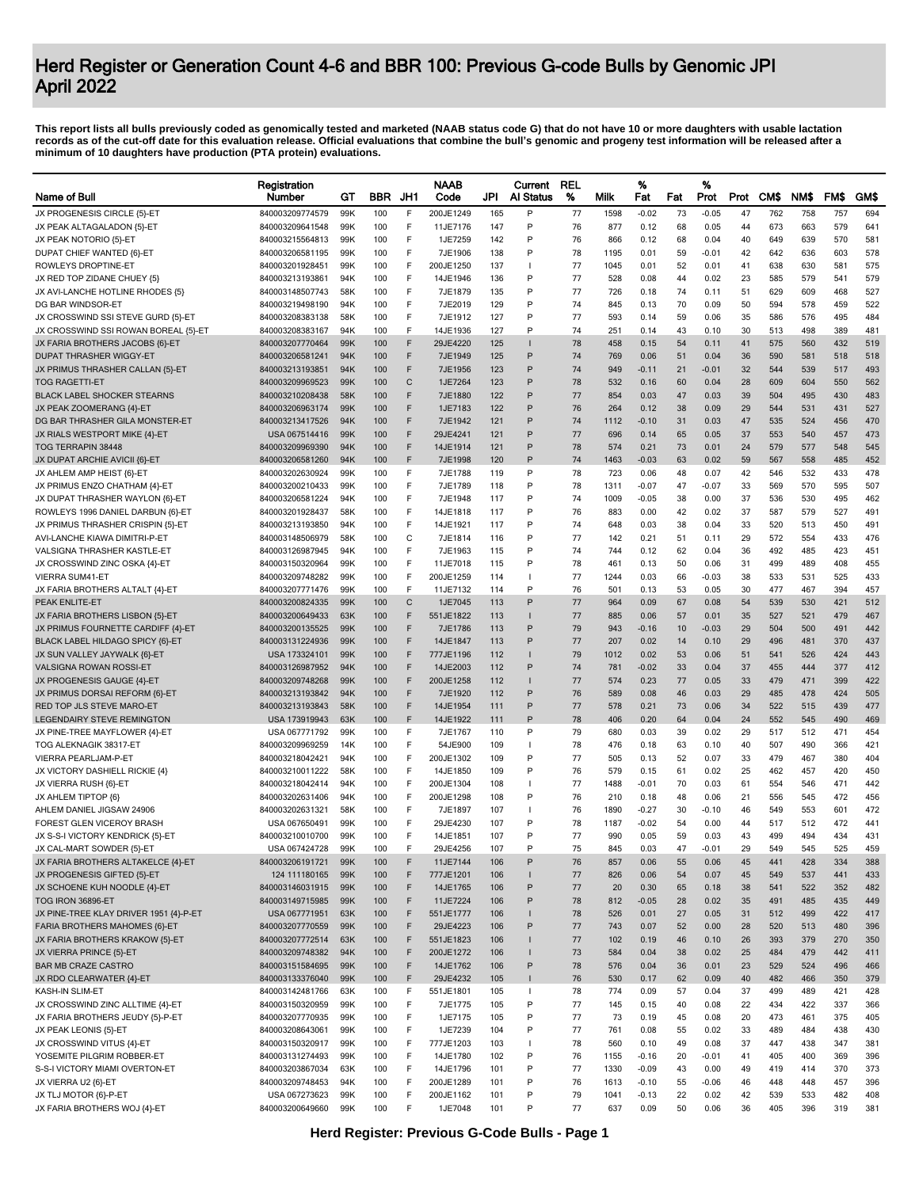|                                                                            | Registration                       |            |            |        | <b>NAAB</b>         |            | Current      | <b>REL</b> |            | %               |          | %            |          |            |            |            |            |
|----------------------------------------------------------------------------|------------------------------------|------------|------------|--------|---------------------|------------|--------------|------------|------------|-----------------|----------|--------------|----------|------------|------------|------------|------------|
| Name of Bull                                                               | Number                             | GТ         | <b>BBR</b> | JH1    | Code                | JPI        | Al Status    | %          | Milk       | Fat             | Fat      | Prot         | Prot     | <b>CMS</b> | NM\$       | FM\$       | GM\$       |
| JX PROGENESIS CIRCLE {5}-ET                                                | 840003209774579                    | 99K        | 100        | F      | 200JE1249           | 165        | P            | 77         | 1598       | $-0.02$         | 73       | $-0.05$      | 47       | 762        | 758        | 757        | 694        |
| JX PEAK ALTAGALADON {5}-ET                                                 | 840003209641548                    | 99K        | 100        | F      | 11JE7176            | 147        | P            | 76         | 877        | 0.12            | 68       | 0.05         | 44       | 673        | 663        | 579        | 641        |
| JX PEAK NOTORIO {5}-ET                                                     | 840003215564813                    | 99K        | 100        | F      | 1JE7259             | 142        | P            | 76         | 866        | 0.12            | 68       | 0.04         | 40       | 649        | 639        | 570        | 581        |
| DUPAT CHIEF WANTED {6}-ET                                                  | 840003206581195                    | 99K        | 100        | F      | 7JE1906             | 138        | P            | 78         | 1195       | 0.01            | 59       | -0.01        | 42       | 642        | 636        | 603        | 578        |
| ROWLEYS DROPTINE-ET                                                        | 840003201928451                    | 99K        | 100        | F      | 200JE1250           | 137        | $\mathbf{I}$ | 77         | 1045       | 0.01            | 52       | 0.01         | 41       | 638        | 630        | 581        | 575        |
| JX RED TOP ZIDANE CHUEY {5}                                                | 840003213193861                    | 94K        | 100        | F      | 14JE1946            | 136        | P            | 77         | 528        | 0.08            | 44       | 0.02         | 23       | 585        | 579        | 541        | 579        |
| JX AVI-LANCHE HOTLINE RHODES {5}                                           | 840003148507743                    | 58K        | 100        | F      | 7JE1879             | 135        | P            | 77         | 726        | 0.18            | 74       | 0.11         | 51       | 629        | 609        | 468        | 527        |
| DG BAR WINDSOR-ET                                                          | 840003219498190                    | 94K        | 100        | F      | 7JE2019             | 129        | P<br>P       | 74         | 845        | 0.13            | 70       | 0.09         | 50       | 594        | 578        | 459        | 522        |
| JX CROSSWIND SSI STEVE GURD {5}-ET<br>JX CROSSWIND SSI ROWAN BOREAL {5}-ET | 840003208383138<br>840003208383167 | 58K<br>94K | 100<br>100 | F<br>F | 7JE1912<br>14JE1936 | 127<br>127 | P            | 77<br>74   | 593<br>251 | 0.14<br>0.14    | 59<br>43 | 0.06<br>0.10 | 35<br>30 | 586<br>513 | 576<br>498 | 495<br>389 | 484<br>481 |
| JX FARIA BROTHERS JACOBS {6}-ET                                            | 840003207770464                    | 99K        | 100        | F      | 29JE4220            | 125        |              | 78         | 458        | 0.15            | 54       | 0.11         | 41       | 575        | 560        | 432        | 519        |
| <b>DUPAT THRASHER WIGGY-ET</b>                                             | 840003206581241                    | 94K        | 100        | F      | 7JE1949             | 125        | P            | 74         | 769        | 0.06            | 51       | 0.04         | 36       | 590        | 581        | 518        | 518        |
| JX PRIMUS THRASHER CALLAN {5}-ET                                           | 840003213193851                    | 94K        | 100        | F      | 7JE1956             | 123        | P            | 74         | 949        | $-0.11$         | 21       | $-0.01$      | 32       | 544        | 539        | 517        | 493        |
| <b>TOG RAGETTI-ET</b>                                                      | 840003209969523                    | 99K        | 100        | C      | 1JE7264             | 123        | P            | 78         | 532        | 0.16            | 60       | 0.04         | 28       | 609        | 604        | 550        | 562        |
| <b>BLACK LABEL SHOCKER STEARNS</b>                                         | 840003210208438                    | 58K        | 100        | F      | 7JE1880             | 122        | P            | 77         | 854        | 0.03            | 47       | 0.03         | 39       | 504        | 495        | 430        | 483        |
| JX PEAK ZOOMERANG {4}-ET                                                   | 840003206963174                    | 99K        | 100        | F      | 1JE7183             | 122        | P            | 76         | 264        | 0.12            | 38       | 0.09         | 29       | 544        | 531        | 431        | 527        |
| DG BAR THRASHER GILA MONSTER-ET                                            | 840003213417526                    | 94K        | 100        | F      | 7JE1942             | 121        | P            | 74         | 1112       | $-0.10$         | 31       | 0.03         | 47       | 535        | 524        | 456        | 470        |
| JX RIALS WESTPORT MIKE {4}-ET                                              | USA 067514416                      | 99K        | 100        | F      | 29JE4241            | 121        | P            | 77         | 696        | 0.14            | 65       | 0.05         | 37       | 553        | 540        | 457        | 473        |
| TOG TERRAPIN 38448                                                         | 840003209969390                    | 94K        | 100        | F      | 14JE1914            | 121        | P            | 78         | 574        | 0.21            | 73       | 0.01         | 24       | 579        | 577        | 548        | 545        |
| JX DUPAT ARCHIE AVICII {6}-ET                                              | 840003206581260                    | 94K        | 100        | F      | 7JE1998             | 120        | P            | 74         | 1463       | $-0.03$         | 63       | 0.02         | 59       | 567        | 558        | 485        | 452        |
| JX AHLEM AMP HEIST {6}-ET                                                  | 840003202630924                    | 99K        | 100        | F      | 7JE1788             | 119        | P            | 78         | 723        | 0.06            | 48       | 0.07         | 42       | 546        | 532        | 433        | 478        |
| JX PRIMUS ENZO CHATHAM {4}-ET                                              | 840003200210433                    | 99K        | 100        | F      | 7JE1789             | 118        | P            | 78         | 1311       | $-0.07$         | 47       | $-0.07$      | 33       | 569        | 570        | 595        | 507        |
| JX DUPAT THRASHER WAYLON {6}-ET                                            | 840003206581224                    | 94K        | 100        | F      | 7JE1948             | 117        | P            | 74         | 1009       | $-0.05$         | 38       | 0.00         | 37       | 536        | 530        | 495        | 462        |
| ROWLEYS 1996 DANIEL DARBUN {6}-ET                                          | 840003201928437                    | 58K        | 100        | F      | 14JE1818            | 117        | P            | 76         | 883        | 0.00            | 42       | 0.02         | 37       | 587        | 579        | 527        | 491        |
| JX PRIMUS THRASHER CRISPIN {5}-ET                                          | 840003213193850                    | 94K        | 100        | F      | 14JE1921            | 117        | P            | 74         | 648        | 0.03            | 38       | 0.04         | 33       | 520        | 513        | 450        | 491        |
| AVI-LANCHE KIAWA DIMITRI-P-ET                                              | 840003148506979                    | 58K        | 100        | C      | 7JE1814             | 116        | P            | 77         | 142        | 0.21            | 51       | 0.11         | 29       | 572        | 554        | 433        | 476        |
| VALSIGNA THRASHER KASTLE-ET                                                | 840003126987945                    | 94K        | 100        | F      | 7JE1963             | 115        | P            | 74         | 744        | 0.12            | 62       | 0.04         | 36       | 492        | 485        | 423        | 451        |
| JX CROSSWIND ZINC OSKA {4}-ET                                              | 840003150320964                    | 99K        | 100        | F      | 11JE7018            | 115        | P            | 78         | 461        | 0.13            | 50       | 0.06         | 31       | 499        | 489        | 408        | 455        |
| <b>VIERRA SUM41-ET</b>                                                     | 840003209748282                    | 99K        | 100        | F      | 200JE1259           | 114        |              | 77         | 1244       | 0.03            | 66       | $-0.03$      | 38       | 533        | 531        | 525        | 433        |
| JX FARIA BROTHERS ALTALT {4}-ET                                            | 840003207771476                    | 99K        | 100        | F      | 11JE7132            | 114        | P            | 76         | 501        | 0.13            | 53       | 0.05         | 30       | 477        | 467        | 394        | 457        |
| PEAK ENLITE-ET                                                             | 840003200824335                    | 99K        | 100        | C      | 1JE7045             | 113        | P            | 77         | 964        | 0.09            | 67       | 0.08         | 54       | 539        | 530        | 421        | 512        |
| JX FARIA BROTHERS LISBON {5}-ET                                            | 840003200649433                    | 63K        | 100        | F<br>F | 551JE1822           | 113        | P            | 77<br>79   | 885        | 0.06            | 57       | 0.01         | 35       | 527        | 521        | 479        | 467        |
| JX PRIMUS FOURNETTE CARDIFF {4}-ET                                         | 840003200135525                    | 99K<br>99K | 100<br>100 | F      | 7JE1786<br>14JE1847 | 113<br>113 | P            | 77         | 943<br>207 | $-0.16$<br>0.02 | 10<br>14 | $-0.03$      | 29<br>29 | 504<br>496 | 500        | 491<br>370 | 442<br>437 |
| BLACK LABEL HILDAGO SPICY {6}-ET<br>JX SUN VALLEY JAYWALK {6}-ET           | 840003131224936<br>USA 173324101   | 99K        | 100        | F      | 777JE1196           | 112        |              | 79         | 1012       | 0.02            | 53       | 0.10<br>0.06 | 51       | 541        | 481<br>526 | 424        | 443        |
| <b>VALSIGNA ROWAN ROSSI-ET</b>                                             | 840003126987952                    | 94K        | 100        | F      | 14JE2003            | 112        | P            | 74         | 781        | $-0.02$         | 33       | 0.04         | 37       | 455        | 444        | 377        | 412        |
| JX PROGENESIS GAUGE {4}-ET                                                 | 840003209748268                    | 99K        | 100        | F      | 200JE1258           | 112        |              | 77         | 574        | 0.23            | 77       | 0.05         | 33       | 479        | 471        | 399        | 422        |
| JX PRIMUS DORSAI REFORM {6}-ET                                             | 840003213193842                    | 94K        | 100        | F      | 7JE1920             | 112        | P            | 76         | 589        | 0.08            | 46       | 0.03         | 29       | 485        | 478        | 424        | 505        |
| RED TOP JLS STEVE MARO-ET                                                  | 840003213193843                    | 58K        | 100        | F      | 14JE1954            | 111        | P            | 77         | 578        | 0.21            | 73       | 0.06         | 34       | 522        | 515        | 439        | 477        |
| <b>LEGENDAIRY STEVE REMINGTON</b>                                          | USA 173919943                      | 63K        | 100        | F      | 14JE1922            | 111        | P            | 78         | 406        | 0.20            | 64       | 0.04         | 24       | 552        | 545        | 490        | 469        |
| JX PINE-TREE MAYFLOWER {4}-ET                                              | USA 067771792                      | 99K        | 100        | F      | 7JE1767             | 110        | P            | 79         | 680        | 0.03            | 39       | 0.02         | 29       | 517        | 512        | 471        | 454        |
| TOG ALEKNAGIK 38317-ET                                                     | 840003209969259                    | 14K        | 100        | F      | 54JE900             | 109        | $\mathbf{I}$ | 78         | 476        | 0.18            | 63       | 0.10         | 40       | 507        | 490        | 366        | 421        |
| VIERRA PEARLJAM-P-ET                                                       | 840003218042421                    | 94K        | 100        | F      | 200JE1302           | 109        | P            | 77         | 505        | 0.13            | 52       | 0.07         | 33       | 479        | 467        | 380        | 404        |
| JX VICTORY DASHIELL RICKIE {4}                                             | 840003210011222                    | 58K        | 100        | F      | 14JE1850            | 109        | P            | 76         | 579        | 0.15            | 61       | 0.02         | 25       | 462        | 457        | 420        | 450        |
| JX VIERRA RUSH {6}-ET                                                      | 840003218042414                    | 94K        | 100        | F      | 200JE1304           | 108        | $\mathbf{I}$ | 77         | 1488       | $-0.01$         | 70       | 0.03         | 61       | 554        | 546        | 471        | 442        |
| JX AHLEM TIPTOP {6}                                                        | 840003202631406                    | 94K        | 100        | F      | 200JE1298           | 108        | P            | 76         | 210        | 0.18            | 48       | 0.06         | 21       | 556        | 545        | 472        | 456        |
| AHLEM DANIEL JIGSAW 24906                                                  | 840003202631321                    | 58K        | 100        | F      | 7JE1897             | 107        | $\mathbf{I}$ | 76         | 1890       | $-0.27$         | 30       | $-0.10$      | 46       | 549        | 553        | 601        | 472        |
| FOREST GLEN VICEROY BRASH                                                  | USA 067650491                      | 99K        | 100        | F      | 29JE4230            | 107        | P            | 78         | 1187       | $-0.02$         | 54       | 0.00         | 44       | 517        | 512        | 472        | 441        |
| JX S-S-I VICTORY KENDRICK {5}-ET                                           | 840003210010700                    | 99K        | 100        | F      | 14JE1851            | 107        | P            | 77         | 990        | 0.05            | 59       | 0.03         | 43       | 499        | 494        | 434        | 431        |
| JX CAL-MART SOWDER {5}-E1                                                  | USA 067424728                      | 99ŀ        | 100        |        | 29JE4256            | 10.        |              | 75         | 845        | 0.03            |          | -0.0         | 29       | 549        | 545        | 525        | 459        |
| JX FARIA BROTHERS ALTAKELCE {4}-ET                                         | 840003206191721                    | 99K        | 100        | F      | 11JE7144            | 106        | P            | 76         | 857        | 0.06            | 55       | 0.06         | 45       | 441        | 428        | 334        | 388        |
| JX PROGENESIS GIFTED {5}-ET                                                | 124 111180165                      | 99K        | 100        | F      | 777JE1201           | 106        |              | 77         | 826        | 0.06            | 54       | 0.07         | 45       | 549        | 537        | 441        | 433        |
| JX SCHOENE KUH NOODLE {4}-ET                                               | 840003146031915                    | 99K        | 100        | F      | 14JE1765            | 106        | P            | 77         | 20         | 0.30            | 65       | 0.18         | 38       | 541        | 522        | 352        | 482        |
| TOG IRON 36896-ET                                                          | 840003149715985                    | 99K        | 100        | F      | 11JE7224            | 106        | P            | 78         | 812        | $-0.05$         | 28       | 0.02         | 35       | 491        | 485        | 435        | 449        |
| JX PINE-TREE KLAY DRIVER 1951 {4}-P-ET                                     | USA 067771951                      | 63K        | 100        | F      | 551JE1777           | 106        |              | 78         | 526        | 0.01            | 27       | 0.05         | 31       | 512        | 499        | 422        | 417        |
| FARIA BROTHERS MAHOMES {6}-ET                                              | 840003207770559                    | 99K        | 100        | F      | 29JE4223            | 106        | P            | 77         | 743        | 0.07            | 52       | 0.00         | 28       | 520        | 513        | 480        | 396        |
| JX FARIA BROTHERS KRAKOW {5}-ET                                            | 840003207772514                    | 63K        | 100        | F      | 551JE1823           | 106        |              | 77         | 102        | 0.19            | 46       | 0.10         | 26       | 393        | 379        | 270        | 350        |
| JX VIERRA PRINCE {5}-ET                                                    | 840003209748382                    | 94K        | 100        | F      | 200JE1272           | 106        |              | 73         | 584        | 0.04            | 38       | 0.02         | 25       | 484        | 479        | 442        | 411        |
| <b>BAR MB CRAZE CASTRO</b>                                                 | 840003151584695                    | 99K        | 100        | F      | 14JE1762            | 106        | P            | 78         | 576        | 0.04            | 36       | 0.01         | 23       | 529        | 524        | 496        | 466        |
| JX RDO CLEARWATER {4}-ET                                                   | 840003133376040<br>840003142481766 | 99K        | 100        | F      | 29JE4232            | 105        | $\mathbf{I}$ | 76         | 530        | 0.17            | 62       | 0.09         | 40       | 482        | 466        | 350        | 379        |
| KASH-IN SLIM-ET                                                            |                                    | 63K        | 100<br>100 | F<br>F | 551JE1801           | 105<br>105 | P            | 78<br>77   | 774        | 0.09            | 57<br>40 | 0.04         | 37<br>22 | 499<br>434 | 489<br>422 | 421<br>337 | 428<br>366 |
| JX CROSSWIND ZINC ALLTIME {4}-ET                                           | 840003150320959                    | 99K<br>99K | 100        | F      | 7JE1775<br>1JE7175  | 105        | P            | 77         | 145<br>73  | 0.15<br>0.19    | 45       | 0.08<br>0.08 | 20       | 473        | 461        | 375        | 405        |
| JX FARIA BROTHERS JEUDY {5}-P-ET                                           | 840003207770935                    |            | 100        | F      | 1JE7239             | 104        | P            | 77         | 761        |                 | 55       |              | 33       | 489        |            | 438        | 430        |
| JX PEAK LEONIS {5}-ET<br>JX CROSSWIND VITUS {4}-ET                         | 840003208643061<br>840003150320917 | 99K<br>99K | 100        | F      | 777JE1203           | 103        | $\mathbf{I}$ | 78         | 560        | 0.08<br>0.10    | 49       | 0.02<br>0.08 | 37       | 447        | 484<br>438 | 347        | 381        |
| YOSEMITE PILGRIM ROBBER-ET                                                 | 840003131274493                    | 99K        | 100        | F      | 14JE1780            | 102        | P            | 76         | 1155       | -0.16           | 20       | -0.01        | 41       | 405        | 400        | 369        | 396        |
| S-S-I VICTORY MIAMI OVERTON-ET                                             | 840003203867034                    | 63K        | 100        | F      | 14JE1796            | 101        | P            | 77         | 1330       | $-0.09$         | 43       | 0.00         | 49       | 419        | 414        | 370        | 373        |
| JX VIERRA U2 {6}-ET                                                        | 840003209748453                    | 94K        | 100        | F      | 200JE1289           | 101        | P            | 76         | 1613       | $-0.10$         | 55       | $-0.06$      | 46       | 448        | 448        | 457        | 396        |
| JX TLJ MOTOR {6}-P-ET                                                      | USA 067273623                      | 99K        | 100        | F      | 200JE1162           | 101        | P            | 79         | 1041       | $-0.13$         | 22       | 0.02         | 42       | 539        | 533        | 482        | 408        |
| JX FARIA BROTHERS WOJ {4}-ET                                               | 840003200649660                    | 99K        | 100        | F      | 1JE7048             | 101        | P            | 77         | 637        | 0.09            | 50       | 0.06         | 36       | 405        | 396        | 319        | 381        |
|                                                                            |                                    |            |            |        |                     |            |              |            |            |                 |          |              |          |            |            |            |            |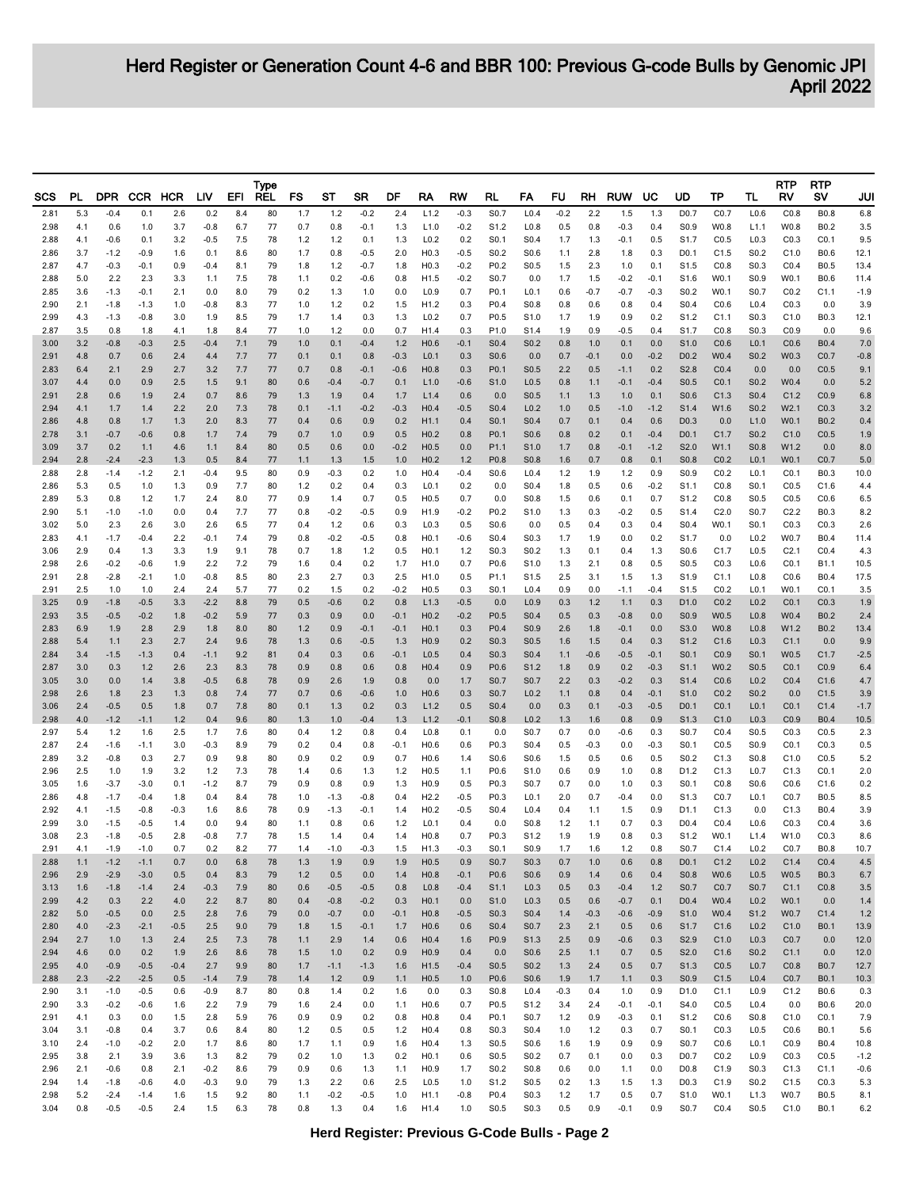| SCS          | PL.        | <b>DPR</b>       |                  | CCR HCR       | LIV              | EFI        | <b>Type</b><br><b>REL</b> | FS           | ST              | SR            | DF              | RA                                   | RW               | RL                                   | FA                                   | FU           | RH            | <b>RUW</b>       | UC               | UD                                   | ТP               | TL                                   | RTP<br>RV                | <b>RTP</b><br>sv           | JUI              |
|--------------|------------|------------------|------------------|---------------|------------------|------------|---------------------------|--------------|-----------------|---------------|-----------------|--------------------------------------|------------------|--------------------------------------|--------------------------------------|--------------|---------------|------------------|------------------|--------------------------------------|------------------|--------------------------------------|--------------------------|----------------------------|------------------|
| 2.81         | 5.3        | $-0.4$           | 0.1              | 2.6           | 0.2              | 8.4        | 80                        | 1.7          | $1.2$           | $-0.2$        | 2.4             | L1.2                                 | $-0.3$           | S0.7                                 | L <sub>0.4</sub>                     | $-0.2$       | 2.2           | 1.5              | 1.3              | D <sub>0.7</sub>                     | CO.7             | L <sub>0.6</sub>                     | CO.8                     | <b>B0.8</b>                | 6.8              |
| 2.98         | 4.1        | 0.6              | 1.0              | 3.7           | $-0.8$           | 6.7        | 77                        | 0.7          | 0.8             | $-0.1$        | 1.3             | L1.0                                 | $-0.2$           | S1.2                                 | L <sub>0.8</sub>                     | 0.5          | 0.8           | $-0.3$           | 0.4              | S <sub>0.9</sub>                     | W0.8             | L1.1                                 | W0.8                     | B <sub>0.2</sub>           | 3.5              |
| 2.88<br>2.86 | 4.1<br>3.7 | $-0.6$<br>$-1.2$ | 0.1<br>$-0.9$    | 3.2<br>1.6    | $-0.5$<br>0.1    | 7.5<br>8.6 | 78<br>80                  | 1.2<br>1.7   | 1.2<br>0.8      | 0.1<br>$-0.5$ | 1.3<br>2.0      | L <sub>0.2</sub><br>H <sub>0.3</sub> | 0.2<br>$-0.5$    | S0.1<br>S0.2                         | S <sub>0.4</sub><br>S <sub>0.6</sub> | 1.7<br>1.1   | 1.3<br>2.8    | $-0.1$<br>1.8    | 0.5<br>0.3       | S <sub>1.7</sub><br>D <sub>0.1</sub> | CO.5<br>C1.5     | L <sub>0.3</sub><br>S0.2             | CO.3<br>C1.0             | CO.1<br>B0.6               | 9.5<br>12.1      |
| 2.87         | 4.7        | $-0.3$           | $-0.1$           | 0.9           | $-0.4$           | 8.1        | 79                        | 1.8          | 1.2             | $-0.7$        | 1.8             | H <sub>0.3</sub>                     | $-0.2$           | P0.2                                 | S <sub>0.5</sub>                     | 1.5          | 2.3           | 1.0              | 0.1              | S <sub>1.5</sub>                     | CO.8             | S0.3                                 | CO.4                     | B0.5                       | 13.4             |
| 2.88         | 5.0        | 2.2              | 2.3              | 3.3           | 1.1              | 7.5        | 78                        | 1.1          | 0.2             | $-0.6$        | 0.8             | H <sub>1.5</sub>                     | $-0.2$           | S0.7                                 | 0.0                                  | 1.7          | 1.5           | $-0.2$           | $-0.1$           | S <sub>1.6</sub>                     | W0.1             | S <sub>0.9</sub>                     | W0.1                     | B0.6                       | 11.4             |
| 2.85<br>2.90 | 3.6<br>2.1 | $-1.3$<br>$-1.8$ | $-0.1$<br>$-1.3$ | 2.1<br>1.0    | 0.0<br>$-0.8$    | 8.0<br>8.3 | 79<br>77                  | 0.2<br>1.0   | 1.3<br>1.2      | 1.0<br>0.2    | 0.0<br>1.5      | L <sub>0.9</sub><br>H1.2             | 0.7<br>0.3       | P0.1<br>P0.4                         | L <sub>0.1</sub><br>S0.8             | 0.6<br>0.8   | $-0.7$<br>0.6 | $-0.7$<br>0.8    | $-0.3$<br>0.4    | S <sub>0.2</sub><br>S <sub>0.4</sub> | W0.1<br>CO.6     | S <sub>0.7</sub><br>L <sub>0.4</sub> | CO.2<br>CO.3             | C1.1<br>0.0                | $-1.9$<br>3.9    |
| 2.99         | 4.3        | $-1.3$           | $-0.8$           | 3.0           | 1.9              | 8.5        | 79                        | 1.7          | 1.4             | 0.3           | 1.3             | L <sub>0.2</sub>                     | 0.7              | P0.5                                 | S1.0                                 | 1.7          | 1.9           | 0.9              | 0.2              | S <sub>1.2</sub>                     | C1.1             | S0.3                                 | C1.0                     | B0.3                       | 12.1             |
| 2.87         | 3.5        | 0.8              | 1.8              | 4.1           | 1.8              | 8.4        | 77                        | 1.0          | 1.2             | 0.0           | 0.7             | H1.4                                 | 0.3              | P1.0                                 | S1.4                                 | 1.9          | 0.9           | $-0.5$           | 0.4              | S <sub>1.7</sub>                     | CO.8             | S <sub>0.3</sub>                     | CO.9                     | 0.0                        | 9.6              |
| 3.00<br>2.91 | 3.2<br>4.8 | $-0.8$<br>0.7    | $-0.3$<br>0.6    | 2.5<br>2.4    | $-0.4$<br>4.4    | 7.1<br>7.7 | 79<br>77                  | 1.0<br>0.1   | 0.1<br>0.1      | $-0.4$<br>0.8 | $1.2$<br>$-0.3$ | H <sub>0.6</sub><br>L <sub>0.1</sub> | $-0.1$<br>0.3    | S <sub>0.4</sub><br>S <sub>0.6</sub> | S <sub>0.2</sub><br>0.0              | 0.8<br>0.7   | 1.0<br>$-0.1$ | 0.1<br>0.0       | 0.0<br>$-0.2$    | S <sub>1.0</sub><br>D <sub>0.2</sub> | CO.6<br>W0.4     | L <sub>0.1</sub><br>S0.2             | CO.6<br>W0.3             | <b>B0.4</b><br>CO.7        | 7.0<br>$-0.8$    |
| 2.83         | 6.4        | 2.1              | 2.9              | 2.7           | 3.2              | 7.7        | 77                        | 0.7          | 0.8             | $-0.1$        | $-0.6$          | H <sub>0.8</sub>                     | 0.3              | P <sub>0.1</sub>                     | S <sub>0.5</sub>                     | 2.2          | 0.5           | $-1.1$           | 0.2              | S2.8                                 | CO.4             | 0.0                                  | 0.0                      | CO.5                       | 9.1              |
| 3.07<br>2.91 | 4.4<br>2.8 | 0.0<br>0.6       | 0.9<br>1.9       | 2.5           | 1.5              | 9.1<br>8.6 | 80<br>79                  | 0.6          | $-0.4$          | $-0.7$        | 0.1             | L1.0<br>L1.4                         | $-0.6$<br>0.6    | S1.0<br>0.0                          | L <sub>0.5</sub><br>S <sub>0.5</sub> | 0.8<br>1.1   | 1.1           | $-0.1$<br>1.0    | $-0.4$<br>0.1    | S <sub>0.5</sub><br>S <sub>0.6</sub> | CO.1<br>C1.3     | S <sub>0.2</sub><br>S <sub>0.4</sub> | W0.4<br>C1.2             | 0.0<br>CO.9                | 5.2              |
| 2.94         | 4.1        | 1.7              | 1.4              | 2.4<br>2.2    | 0.7<br>2.0       | 7.3        | 78                        | 1.3<br>0.1   | 1.9<br>-1.1     | 0.4<br>$-0.2$ | 1.7<br>$-0.3$   | H0.4                                 | $-0.5$           | S <sub>0.4</sub>                     | L <sub>0.2</sub>                     | 1.0          | 1.3<br>0.5    | $-1.0$           | $-1.2$           | S <sub>1.4</sub>                     | W1.6             | S <sub>0.2</sub>                     | W2.1                     | CO.3                       | 6.8<br>3.2       |
| 2.86         | 4.8        | 0.8              | 1.7              | 1.3           | 2.0              | 8.3        | 77                        | 0.4          | 0.6             | 0.9           | 0.2             | H1.1                                 | 0.4              | S <sub>0.1</sub>                     | S0.4                                 | 0.7          | 0.1           | 0.4              | 0.6              | D <sub>0.3</sub>                     | 0.0              | L1.0                                 | W0.1                     | B <sub>0.2</sub>           | 0.4              |
| 2.78<br>3.09 | 3.1<br>3.7 | $-0.7$<br>0.2    | $-0.6$           | 0.8<br>4.6    | 1.7<br>1.1       | 7.4<br>8.4 | 79<br>80                  | 0.7<br>0.5   | 1.0<br>0.6      | 0.9<br>0.0    | 0.5<br>$-0.2$   | H <sub>0.2</sub><br>H0.5             | 0.8<br>0.0       | P0.1<br>P <sub>1.1</sub>             | S0.6<br>S <sub>1.0</sub>             | 0.8<br>1.7   | 0.2<br>0.8    | 0.1<br>$-0.1$    | $-0.4$<br>$-1.2$ | D <sub>0.1</sub><br>S <sub>2.0</sub> | C1.7<br>W1.1     | S <sub>0.2</sub><br>S <sub>0.8</sub> | C1.0<br>W1.2             | CO.5<br>0.0                | 1.9<br>8.0       |
| 2.94         | 2.8        | $-2.4$           | 1.1<br>$-2.3$    | 1.3           | 0.5              | 8.4        | 77                        | 1.1          | 1.3             | 1.5           | 1.0             | H <sub>0.2</sub>                     | 1.2              | P <sub>0.8</sub>                     | S0.8                                 | 1.6          | 0.7           | 0.8              | 0.1              | S <sub>0.8</sub>                     | CO.2             | L <sub>0.1</sub>                     | W0.1                     | CO.7                       | 5.0              |
| 2.88         | 2.8        | $-1.4$           | $-1.2$           | 2.1           | $-0.4$           | 9.5        | 80                        | 0.9          | -0.3            | 0.2           | 1.0             | H <sub>0.4</sub>                     | $-0.4$           | S0.6                                 | L <sub>0.4</sub>                     | 1.2          | 1.9           | 1.2              | 0.9              | S <sub>0.9</sub>                     | CO.2             | L <sub>0.1</sub>                     | CO.1                     | <b>B0.3</b>                | 10.0             |
| 2.86         | 5.3        | 0.5              | 1.0              | 1.3           | 0.9              | 7.7        | 80                        | 1.2          | 0.2             | 0.4           | 0.3             | L <sub>0.1</sub>                     | 0.2              | 0.0                                  | S <sub>0.4</sub>                     | 1.8          | 0.5           | 0.6              | $-0.2$           | S <sub>1.1</sub>                     | CO.8             | S0.1                                 | CO.5                     | C1.6                       | 4.4              |
| 2.89<br>2.90 | 5.3<br>5.1 | 0.8<br>$-1.0$    | $1.2$<br>$-1.0$  | 1.7<br>0.0    | 2.4<br>0.4       | 8.0<br>7.7 | 77<br>77                  | 0.9<br>0.8   | 1.4<br>$-0.2$   | 0.7<br>$-0.5$ | 0.5<br>0.9      | H0.5<br>H1.9                         | 0.7<br>$-0.2$    | 0.0<br>P <sub>0.2</sub>              | S <sub>0.8</sub><br>S <sub>1.0</sub> | 1.5<br>1.3   | 0.6<br>0.3    | 0.1<br>$-0.2$    | 0.7<br>0.5       | S <sub>1.2</sub><br>S <sub>1.4</sub> | CO.8<br>C2.0     | S <sub>0.5</sub><br>S <sub>0.7</sub> | CO.5<br>C2.2             | CO.6<br>B0.3               | 6.5<br>8.2       |
| 3.02         | 5.0        | 2.3              | 2.6              | 3.0           | 2.6              | 6.5        | 77                        | 0.4          | 1.2             | 0.6           | 0.3             | L <sub>0.3</sub>                     | 0.5              | S0.6                                 | 0.0                                  | 0.5          | 0.4           | 0.3              | 0.4              | S <sub>0.4</sub>                     | W0.1             | S0.1                                 | CO.3                     | CO.3                       | 2.6              |
| 2.83         | 4.1        | $-1.7$           | $-0.4$           | 2.2           | $-0.1$           | 7.4        | 79<br>78                  | 0.8          | -0.2            | $-0.5$        | 0.8             | H0.1                                 | -0.6             | S <sub>0.4</sub><br>S <sub>0.3</sub> | S0.3                                 | 1.7          | 1.9           | 0.0              | 0.2              | S1.7                                 | 0.0              | L <sub>0.2</sub>                     | W0.7                     | <b>B0.4</b><br>CO.4        | 11.4             |
| 3.06<br>2.98 | 2.9<br>2.6 | 0.4<br>$-0.2$    | 1.3<br>$-0.6$    | 3.3<br>1.9    | 1.9<br>2.2       | 9.1<br>7.2 | 79                        | 0.7<br>1.6   | 1.8<br>0.4      | 1.2<br>0.2    | 0.5<br>1.7      | H0.1<br>H <sub>1.0</sub>             | 1.2<br>0.7       | P <sub>0.6</sub>                     | S <sub>0.2</sub><br>S1.0             | 1.3<br>1.3   | 0.1<br>2.1    | 0.4<br>0.8       | 1.3<br>0.5       | S0.6<br>S <sub>0.5</sub>             | C1.7<br>CO.3     | L <sub>0.5</sub><br>L <sub>0.6</sub> | C <sub>2.1</sub><br>CO.1 | B1.1                       | 4.3<br>10.5      |
| 2.91         | 2.8        | $-2.8$           | $-2.1$           | 1.0           | $-0.8$           | 8.5        | 80                        | 2.3          | 2.7             | 0.3           | 2.5             | H1.0                                 | 0.5              | P1.1                                 | S <sub>1.5</sub>                     | 2.5          | 3.1           | 1.5              | 1.3              | S <sub>1.9</sub>                     | C1.1             | L <sub>0.8</sub>                     | CO.6                     | B <sub>0.4</sub>           | 17.5             |
| 2.91         | 2.5        | 1.0              | 1.0              | 2.4           | 2.4              | 5.7        | 77<br>79                  | 0.2          | 1.5             | 0.2           | $-0.2$          | H0.5                                 | 0.3              | S <sub>0.1</sub>                     | L <sub>0.4</sub><br>L <sub>0.9</sub> | 0.9          | 0.0           | $-1.1$           | -0.4             | S <sub>1.5</sub>                     | CO.2<br>CO.2     | L <sub>0.1</sub><br>L <sub>0.2</sub> | W0.1<br>CO.1             | CO.1<br>CO.3               | 3.5              |
| 3.25<br>2.93 | 0.9<br>3.5 | $-1.8$<br>$-0.5$ | $-0.5$<br>$-0.2$ | 3.3<br>1.8    | $-2.2$<br>$-0.2$ | 8.8<br>5.9 | 77                        | 0.5<br>0.3   | $-0.6$<br>0.9   | 0.2<br>0.0    | 0.8<br>$-0.1$   | L1.3<br>H <sub>0.2</sub>             | $-0.5$<br>$-0.2$ | 0.0<br>P <sub>0.5</sub>              | S <sub>0.4</sub>                     | 0.3<br>0.5   | $1.2$<br>0.3  | 1.1<br>$-0.8$    | 0.3<br>0.0       | D <sub>1.0</sub><br>S <sub>0.9</sub> | W0.5             | L <sub>0.8</sub>                     | W0.4                     | B <sub>0.2</sub>           | 1.9<br>2.4       |
| 2.83         | 6.9        | 1.9              | 2.8              | 2.9           | 1.8              | 8.0        | 80                        | 1.2          | 0.9             | $-0.1$        | $-0.1$          | H <sub>0.1</sub>                     | 0.3              | P <sub>0.4</sub>                     | S <sub>0.9</sub>                     | 2.6          | 1.8           | $-0.1$           | 0.0              | S3.0                                 | W0.8             | L <sub>0.8</sub>                     | W1.2                     | B <sub>0.2</sub>           | 13.4             |
| 2.88         | 5.4        | 1.1              | 2.3              | 2.7           | 2.4              | 9.6        | 78                        | 1.3          | 0.6             | $-0.5$        | 1.3             | H <sub>0.9</sub>                     | 0.2              | S0.3                                 | S0.5                                 | 1.6          | 1.5           | 0.4              | 0.3              | S <sub>1.2</sub>                     | C1.6             | L <sub>0.3</sub>                     | C1.1                     | 0.0                        | 9.9              |
| 2.84<br>2.87 | 3.4<br>3.0 | $-1.5$<br>0.3    | $-1.3$<br>1.2    | 0.4<br>2.6    | $-1.1$<br>2.3    | 9.2<br>8.3 | 81<br>78                  | 0.4<br>0.9   | 0.3<br>0.8      | 0.6<br>0.6    | $-0.1$<br>0.8   | L <sub>0.5</sub><br>H0.4             | 0.4<br>0.9       | S <sub>0.3</sub><br>P <sub>0.6</sub> | S <sub>0.4</sub><br>S <sub>1.2</sub> | 1.1<br>1.8   | $-0.6$<br>0.9 | $-0.5$<br>0.2    | $-0.1$<br>$-0.3$ | S <sub>0.1</sub><br>S <sub>1.1</sub> | CO.9<br>W0.2     | S <sub>0.1</sub><br>S <sub>0.5</sub> | W0.5<br>CO.1             | C1.7<br>CO.9               | $-2.5$<br>6.4    |
| 3.05         | 3.0        | 0.0              | 1.4              | 3.8           | $-0.5$           | 6.8        | 78                        | 0.9          | 2.6             | 1.9           | 0.8             | 0.0                                  | 1.7              | S <sub>0.7</sub>                     | S <sub>0.7</sub>                     | 2.2          | 0.3           | $-0.2$           | 0.3              | S <sub>1.4</sub>                     | CO.6             | L <sub>0.2</sub>                     | CO.4                     | C1.6                       | 4.7              |
| 2.98         | 2.6        | 1.8              | 2.3              | 1.3           | 0.8              | 7.4        | 77                        | 0.7          | 0.6             | $-0.6$        | 1.0             | H0.6                                 | 0.3              | S0.7                                 | L <sub>0.2</sub>                     | 1.1          | 0.8           | 0.4              | $-0.1$           | S <sub>1.0</sub>                     | CO.2             | S0.2                                 | 0.0                      | C1.5                       | 3.9              |
| 3.06<br>2.98 | 2.4<br>4.0 | $-0.5$<br>$-1.2$ | 0.5<br>$-1.1$    | 1.8<br>1.2    | 0.7<br>0.4       | 7.8<br>9.6 | 80<br>80                  | 0.1<br>1.3   | 1.3<br>1.0      | 0.2<br>$-0.4$ | 0.3<br>1.3      | L1.2<br>L1.2                         | 0.5<br>$-0.1$    | S <sub>0.4</sub><br>S <sub>0.8</sub> | 0.0<br>L <sub>0.2</sub>              | 0.3<br>1.3   | 0.1<br>1.6    | $-0.3$<br>0.8    | $-0.5$<br>0.9    | D <sub>0.1</sub><br>S <sub>1.3</sub> | CO.1<br>C1.0     | L <sub>0.1</sub><br>L <sub>0.3</sub> | CO.1<br>CO.9             | C1.4<br><b>B0.4</b>        | $-1.7$<br>10.5   |
| 2.97         | 5.4        | 1.2              | 1.6              | 2.5           | 1.7              | 7.6        | 80                        | 0.4          | 1.2             | 0.8           | 0.4             | L <sub>0.8</sub>                     | 0.1              | 0.0                                  | S <sub>0.7</sub>                     | 0.7          | 0.0           | -0.6             | 0.3              | S <sub>0.7</sub>                     | CO.4             | S0.5                                 | CO.3                     | CO.5                       | 2.3              |
| 2.87         | 2.4<br>3.2 | $-1.6$           | $-1.1$<br>0.3    | 3.0           | $-0.3$           | 8.9        | 79<br>80                  | 0.2<br>0.9   | 0.4             | 0.8           | $-0.1$          | H <sub>0.6</sub><br>H0.6             | 0.6<br>1.4       | P0.3<br>S0.6                         | S <sub>0.4</sub><br>S0.6             | 0.5          | $-0.3$        | 0.0              | $-0.3$           | S <sub>0.1</sub><br>S <sub>0.2</sub> | CO.5<br>C1.3     | S0.9<br>S <sub>0.8</sub>             | CO.1<br>C1.0             | CO.3<br>CO.5               | 0.5              |
| 2.89<br>2.96 | 2.5        | $-0.8$<br>1.0    | 1.9              | 2.7<br>3.2    | 0.9<br>$1.2$     | 9.8<br>7.3 | 78                        | 1.4          | 0.2<br>0.6      | 0.9<br>1.3    | 0.7<br>$1.2$    | H <sub>0.5</sub>                     | 1.1              | P0.6                                 | S1.0                                 | 1.5<br>0.6   | 0.5<br>0.9    | 0.6<br>1.0       | 0.5<br>0.8       | D <sub>1.2</sub>                     | C1.3             | L <sub>0.7</sub>                     | C1.3                     | CO.1                       | 5.2<br>2.0       |
| 3.05         | 1.6        | $-3.7$           | $-3.0$           | 0.1           | $-1.2$           | 8.7        | 79                        | 0.9          | 0.8             | 0.9           | 1.3             | H <sub>0.9</sub>                     | 0.5              | P0.3                                 | S0.7                                 | 0.7          | 0.0           | 1.0              | 0.3              | S <sub>0.1</sub>                     | CO.8             | S0.6                                 | CO.6                     | C1.6                       | 0.2              |
| 2.86         | 4.8        | $-1.7$           | $-0.4$           | 1.8           | 0.4              | 8.4        | 78                        | 1.0          | -1.3            | $-0.8$        | 0.4             | H2.2                                 | $-0.5$           | P0.3                                 | L <sub>0.1</sub>                     | 2.0          | 0.7           | $-0.4$           | 0.0              | S <sub>1.3</sub>                     | CO.7             | L <sub>0.1</sub>                     | CO.7                     | B0.5                       | 8.5              |
| 2.92<br>2.99 | 4.1<br>3.0 | $-1.5$<br>$-1.5$ | $-0.8$<br>$-0.5$ | $-0.3$<br>1.4 | 1.6<br>0.0       | 8.6<br>9.4 | 78<br>80                  | 0.9<br>1.1   | $-1.3$<br>0.8   | $-0.1$<br>0.6 | 1.4<br>$1.2$    | H <sub>0.2</sub><br>L <sub>0.1</sub> | -0.5<br>0.4      | S0.4<br>0.0                          | L <sub>0.4</sub><br>S0.8             | 0.4<br>1.2   | 1.1<br>1.1    | 1.5<br>0.7       | 0.9<br>0.3       | D1.1<br>D <sub>0.4</sub>             | C1.3<br>CO.4     | 0.0<br>L0.6                          | C1.3<br>CO.3             | B0.4<br>CO.4               | 3.9<br>3.6       |
| 3.08         | 2.3        | $-1.8$           | -0.5             | 2.8           | $-0.8$           | 7.7        | 78                        | 1.5          | 1.4             | 0.4           | 1.4             | H <sub>0.8</sub>                     | 0.7              | P0.3                                 | S1.2                                 | 1.9          | 1.9           | 0.8              | 0.3              | S <sub>1.2</sub>                     | W0.1             | L1.4                                 | W1.0                     | CO.3                       | 8.6              |
| 2.91         | 4.1        | $-1.9$           | $-1.0$           | 0.7           | 0.2              | 8.2        | 77<br>78                  | 1.4          | $-1.0$          | $-0.3$        | 1.5             | H <sub>1.3</sub>                     | -0.3             | S0.1                                 | S <sub>0.9</sub>                     | 1.7          | 1.6           | 1.2              | 0.8              | S0.7                                 | C1.4             | L <sub>0.2</sub>                     | CO.7                     | B0.8                       | 10.7             |
| 2.88<br>2.96 | 1.1<br>2.9 | $-1.2$<br>$-2.9$ | $-1.1$<br>$-3.0$ | 0.7<br>0.5    | 0.0<br>0.4       | 6.8<br>8.3 | 79                        | 1.3<br>$1.2$ | 1.9<br>0.5      | 0.9<br>0.0    | 1.9<br>1.4      | H0.5<br>H <sub>0.8</sub>             | 0.9<br>$-0.1$    | S0.7<br>P0.6                         | S0.3<br>S0.6                         | 0.7<br>0.9   | 1.0<br>1.4    | 0.6<br>0.6       | 0.8<br>0.4       | D <sub>0.1</sub><br>S <sub>0.8</sub> | C1.2<br>W0.6     | L <sub>0.2</sub><br>L <sub>0.5</sub> | C1.4<br>W0.5             | CO.4<br><b>B0.3</b>        | 4.5<br>6.7       |
| 3.13         | 1.6        | $-1.8$           | $-1.4$           | 2.4           | $-0.3$           | 7.9        | 80                        | 0.6          | $-0.5$          | $-0.5$        | 0.8             | L <sub>0.8</sub>                     | $-0.4$           | S <sub>1.1</sub>                     | L <sub>0.3</sub>                     | 0.5          | 0.3           | $-0.4$           | $1.2$            | S <sub>0.7</sub>                     | CO.7             | S <sub>0.7</sub>                     | C1.1                     | CO.8                       | 3.5              |
| 2.99         | 4.2        | 0.3              | 2.2              | 4.0           | 2.2              | 8.7        | 80                        | 0.4          | $-0.8$          | $-0.2$        | 0.3             | H <sub>0.1</sub>                     | 0.0              | S1.0                                 | L <sub>0.3</sub>                     | 0.5          | 0.6           | $-0.7$           | 0.1              | D <sub>0.4</sub>                     | W0.4             | L <sub>0.2</sub>                     | W0.1                     | 0.0                        | 1.4              |
| 2.82<br>2.80 | 5.0<br>4.0 | $-0.5$<br>$-2.3$ | 0.0<br>$-2.1$    | 2.5<br>$-0.5$ | 2.8<br>2.5       | 7.6<br>9.0 | 79<br>79                  | 0.0<br>1.8   | $-0.7$<br>1.5   | 0.0<br>$-0.1$ | $-0.1$<br>1.7   | H <sub>0.8</sub><br>H <sub>0.6</sub> | $-0.5$<br>0.6    | S0.3<br>S <sub>0.4</sub>             | S0.4<br>S0.7                         | 1.4<br>2.3   | $-0.3$<br>2.1 | $-0.6$<br>0.5    | $-0.9$<br>0.6    | S <sub>1.0</sub><br>S <sub>1.7</sub> | W0.4<br>C1.6     | S <sub>1.2</sub><br>L <sub>0.2</sub> | W0.7<br>C1.0             | C1.4<br>B <sub>0.1</sub>   | 1.2<br>13.9      |
| 2.94         | 2.7        | 1.0              | 1.3              | 2.4           | 2.5              | 7.3        | 78                        | 1.1          | 2.9             | 1.4           | 0.6             | H <sub>0.4</sub>                     | 1.6              | P <sub>0.9</sub>                     | S <sub>1.3</sub>                     | 2.5          | 0.9           | $-0.6$           | 0.3              | S <sub>2.9</sub>                     | C1.0             | L <sub>0.3</sub>                     | CO.7                     | 0.0                        | 12.0             |
| 2.94<br>2.95 | 4.6        | 0.0              | 0.2              | 1.9           | 2.6              | 8.6        | 78<br>80                  | 1.5          | 1.0             | 0.2           | 0.9             | H <sub>0.9</sub><br>H1.5             | 0.4              | 0.0<br>S <sub>0.5</sub>              | S0.6<br>S <sub>0.2</sub>             | 2.5          | 1.1           | 0.7              | 0.5              | S <sub>2.0</sub>                     | C1.6<br>CO.5     | S0.2<br>L <sub>0.7</sub>             | C1.1<br>CO.8             | 0.0                        | 12.0             |
| 2.88         | 4.0<br>2.3 | $-0.9$<br>$-2.2$ | $-0.5$<br>$-2.5$ | $-0.4$<br>0.5 | 2.7<br>$-1.4$    | 9.9<br>7.9 | 78                        | 1.7<br>1.4   | $-1.1$<br>$1.2$ | $-1.3$<br>0.9 | 1.6<br>1.1      | H0.5                                 | $-0.4$<br>1.0    | P <sub>0.6</sub>                     | S0.6                                 | 1.3<br>1.9   | 2.4<br>1.7    | 0.5<br>1.1       | 0.7<br>0.3       | S <sub>1.3</sub><br>S <sub>0.9</sub> | C1.5             | L <sub>0.4</sub>                     | CO.7                     | <b>B0.7</b><br><b>B0.1</b> | 12.7<br>10.3     |
| 2.90         | 3.1        | $-1.0$           | $-0.5$           | 0.6           | $-0.9$           | 8.7        | 80                        | 0.8          | 1.4             | 0.2           | 1.6             | 0.0                                  | 0.3              | S0.8                                 | L <sub>0.4</sub>                     | $-0.3$       | 0.4           | 1.0              | 0.9              | D1.0                                 | C1.1             | L <sub>0.9</sub>                     | C1.2                     | B0.6                       | 0.3              |
| 2.90<br>2.91 | 3.3<br>4.1 | $-0.2$<br>0.3    | $-0.6$<br>0.0    | 1.6<br>1.5    | 2.2<br>2.8       | 7.9<br>5.9 | 79<br>76                  | 1.6<br>0.9   | 2.4<br>0.9      | 0.0<br>0.2    | 1.1<br>0.8      | H0.6<br>H <sub>0.8</sub>             | 0.7<br>0.4       | P0.5<br>P0.1                         | S1.2<br>S0.7                         | 3.4<br>$1.2$ | 2.4<br>0.9    | $-0.1$<br>$-0.3$ | $-0.1$<br>0.1    | S4.0<br>S <sub>1.2</sub>             | CO.5<br>CO.6     | L <sub>0.4</sub><br>S0.8             | 0.0<br>C1.0              | B0.6<br>C <sub>0.1</sub>   | 20.0<br>7.9      |
| 3.04         | 3.1        | $-0.8$           | 0.4              | 3.7           | 0.6              | 8.4        | 80                        | 1.2          | 0.5             | 0.5           | 1.2             | H0.4                                 | 0.8              | S0.3                                 | S0.4                                 | 1.0          | $1.2$         | 0.3              | 0.7              | S0.1                                 | CO.3             | L <sub>0.5</sub>                     | CO.6                     | <b>B0.1</b>                | 5.6              |
| 3.10         | 2.4        | $-1.0$           | $-0.2$           | 2.0           | 1.7              | 8.6        | 80                        | 1.7          | 1.1             | 0.9           | 1.6             | H <sub>0.4</sub>                     | 1.3              | S <sub>0.5</sub>                     | S0.6                                 | 1.6          | 1.9           | 0.9              | 0.9              | S <sub>0.7</sub>                     | CO.6             | L <sub>0.1</sub>                     | CO.9                     | B0.4                       | 10.8             |
| 2.95<br>2.96 | 3.8<br>2.1 | 2.1<br>$-0.6$    | 3.9<br>0.8       | 3.6<br>2.1    | 1.3<br>$-0.2$    | 8.2<br>8.6 | 79<br>79                  | 0.2<br>0.9   | 1.0<br>0.6      | 1.3<br>1.3    | 0.2<br>1.1      | H0.1<br>H <sub>0.9</sub>             | 0.6<br>1.7       | S0.5<br>S0.2                         | S <sub>0.2</sub><br>S0.8             | 0.7<br>0.6   | 0.1<br>0.0    | 0.0<br>1.1       | 0.3<br>0.0       | D0.7<br>D <sub>0.8</sub>             | CO.2<br>C1.9     | L <sub>0.9</sub><br>S <sub>0.3</sub> | CO.3<br>C1.3             | CO.5<br>C1.1               | $-1.2$<br>$-0.6$ |
| 2.94         | 1.4        | $-1.8$           | $-0.6$           | 4.0           | $-0.3$           | 9.0        | 79                        | 1.3          | 2.2             | 0.6           | 2.5             | L <sub>0.5</sub>                     | 1.0              | S1.2                                 | S <sub>0.5</sub>                     | 0.2          | 1.3           | 1.5              | 1.3              | D <sub>0.3</sub>                     | C <sub>1.9</sub> | S <sub>0.2</sub>                     | C1.5                     | CO.3                       | 5.3              |
| 2.98         | 5.2        | $-2.4$           | $-1.4$           | 1.6           | 1.5              | 9.2        | 80                        | 1.1          | -0.2            | $-0.5$        | 1.0             | H1.1                                 | $-0.8$           | P <sub>0.4</sub>                     | S <sub>0.3</sub>                     | 1.2          | 1.7           | 0.5              | 0.7              | S <sub>1.0</sub>                     | W0.1             | L1.3                                 | W0.7                     | <b>B0.5</b>                | 8.1              |
| 3.04         | 0.8        | $-0.5$           | $-0.5$           | 2.4           | 1.5              | 6.3        | 78                        | 0.8          | 1.3             | 0.4           | 1.6             | H <sub>1.4</sub>                     | 1.0              | S0.5                                 | S0.3                                 | 0.5          | 0.9           | $-0.1$           | 0.9              | S0.7                                 | CO.4             | S <sub>0.5</sub>                     | C1.0                     | B0.1                       | 6.2              |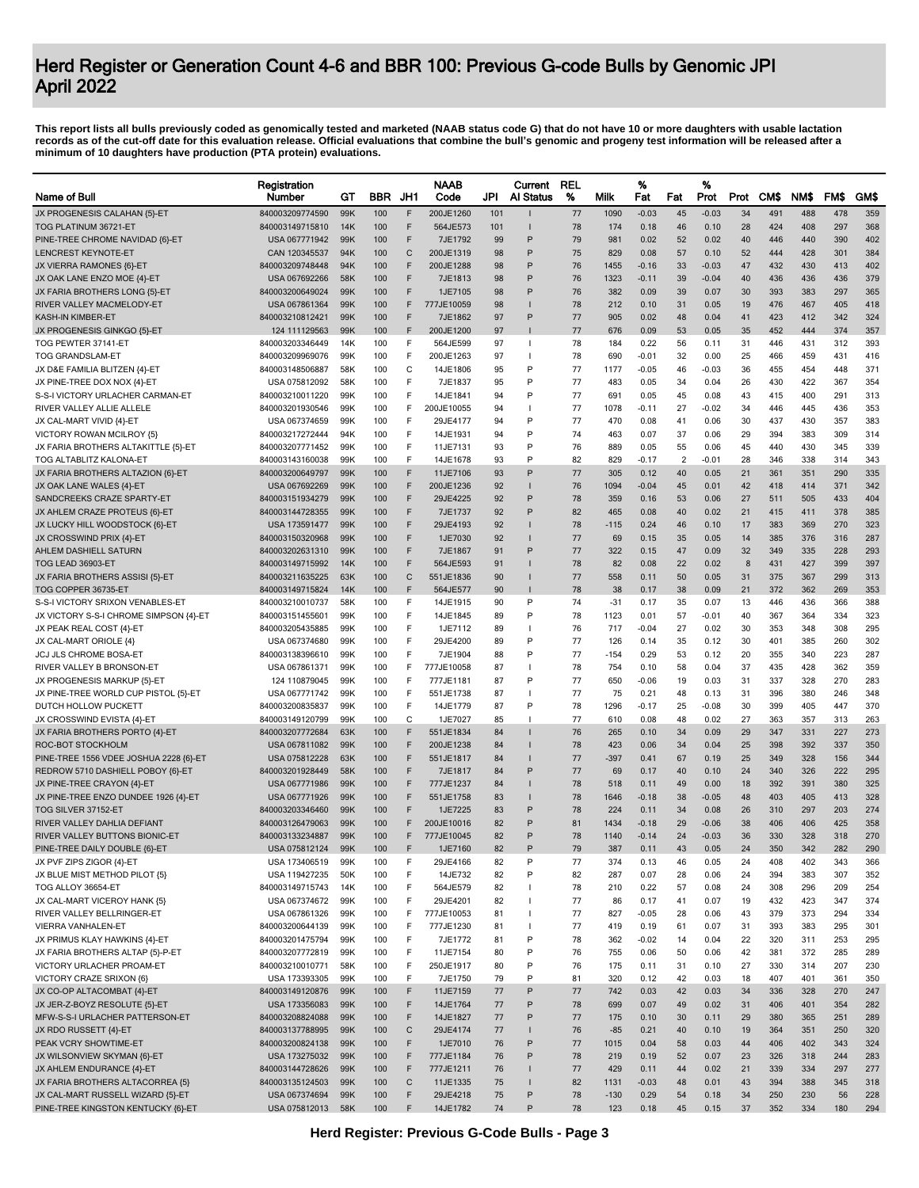|                                                            | Registration                       |            |            |              | <b>NAAB</b>             |          | Current           | <b>REL</b> |             | %               |                | %            |          |            |            |            |            |
|------------------------------------------------------------|------------------------------------|------------|------------|--------------|-------------------------|----------|-------------------|------------|-------------|-----------------|----------------|--------------|----------|------------|------------|------------|------------|
| Name of Bull                                               | Number                             | GТ         | <b>BBR</b> | JH1          | Code                    | JPI      | Al Status         | %          | Milk        | Fat             | Fat            | Prot         | Prot     | <b>CMS</b> | NM\$       | FM\$       | GM\$       |
| JX PROGENESIS CALAHAN {5}-ET                               | 840003209774590                    | 99K        | 100        | F            | 200JE1260               | 101      |                   | 77         | 1090        | $-0.03$         | 45             | $-0.03$      | 34       | 491        | 488        | 478        | 359        |
| TOG PLATINUM 36721-ET                                      | 840003149715810                    | 14K        | 100        | F            | 564JE573                | 101      |                   | 78         | 174         | 0.18            | 46             | 0.10         | 28       | 424        | 408        | 297        | 368        |
| PINE-TREE CHROME NAVIDAD {6}-ET                            | USA 067771942                      | 99K        | 100        | F            | 7JE1792                 | 99       | P                 | 79         | 981         | 0.02            | 52             | 0.02         | 40       | 446        | 440        | 390        | 402        |
| LENCREST KEYNOTE-ET                                        | CAN 120345537                      | 94K        | 100        | $\mathsf{C}$ | 200JE1319               | 98       | P                 | 75         | 829         | 0.08            | 57             | 0.10         | 52       | 444        | 428        | 301        | 384        |
| JX VIERRA RAMONES {6}-ET                                   | 840003209748448                    | 94K        | 100        | F<br>F       | 200JE1288               | 98       | P<br>P            | 76         | 1455        | $-0.16$         | 33             | $-0.03$      | 47       | 432        | 430        | 413        | 402        |
| JX OAK LANE ENZO MOE {4}-ET                                | USA 067692266                      | 58K<br>99K | 100<br>100 | F            | 7JE1813                 | 98       | P                 | 76<br>76   | 1323<br>382 | $-0.11$<br>0.09 | 39<br>39       | $-0.04$      | 40       | 436<br>393 | 436        | 436<br>297 | 379<br>365 |
| JX FARIA BROTHERS LONG {5}-ET<br>RIVER VALLEY MACMELODY-ET | 840003200649024<br>USA 067861364   | 99K        | 100        | F            | 1JE7105<br>777JE10059   | 98<br>98 |                   | 78         | 212         | 0.10            | 31             | 0.07<br>0.05 | 30<br>19 | 476        | 383<br>467 | 405        | 418        |
| KASH-IN KIMBER-ET                                          | 840003210812421                    | 99K        | 100        | F            | 7JE1862                 | 97       | P                 | 77         | 905         | 0.02            | 48             | 0.04         | 41       | 423        | 412        | 342        | 324        |
| JX PROGENESIS GINKGO {5}-ET                                | 124 111129563                      | 99K        | 100        | F            | 200JE1200               | 97       |                   | 77         | 676         | 0.09            | 53             | 0.05         | 35       | 452        | 444        | 374        | 357        |
| TOG PEWTER 37141-ET                                        | 840003203346449                    | 14K        | 100        | F            | 564JE599                | 97       | $\mathbf{I}$      | 78         | 184         | 0.22            | 56             | 0.11         | 31       | 446        | 431        | 312        | 393        |
| <b>TOG GRANDSLAM-ET</b>                                    | 840003209969076                    | 99K        | 100        | F            | 200JE1263               | 97       |                   | 78         | 690         | -0.01           | 32             | 0.00         | 25       | 466        | 459        | 431        | 416        |
| JX D&E FAMILIA BLITZEN {4}-ET                              | 840003148506887                    | 58K        | 100        | C            | 14JE1806                | 95       | P                 | 77         | 1177        | $-0.05$         | 46             | -0.03        | 36       | 455        | 454        | 448        | 371        |
| JX PINE-TREE DOX NOX {4}-ET                                | USA 075812092                      | 58K        | 100        | F            | 7JE1837                 | 95       | P                 | 77         | 483         | 0.05            | 34             | 0.04         | 26       | 430        | 422        | 367        | 354        |
| S-S-I VICTORY URLACHER CARMAN-ET                           | 840003210011220                    | 99K        | 100        | F            | 14JE1841                | 94       | P                 | 77         | 691         | 0.05            | 45             | 0.08         | 43       | 415        | 400        | 291        | 313        |
| RIVER VALLEY ALLIE ALLELE                                  | 840003201930546                    | 99K        | 100        | F            | 200JE10055              | 94       |                   | 77         | 1078        | -0.11           | 27             | $-0.02$      | 34       | 446        | 445        | 436        | 353        |
| JX CAL-MART VIVID {4}-ET                                   | USA 067374659                      | 99K        | 100        | F            | 29JE4177                | 94       | P                 | 77         | 470         | 0.08            | 41             | 0.06         | 30       | 437        | 430        | 357        | 383        |
| VICTORY ROWAN MCILROY {5}                                  | 840003217272444                    | 94K        | 100        | F            | 14JE1931                | 94       | P                 | 74         | 463         | 0.07            | 37             | 0.06         | 29       | 394        | 383        | 309        | 314        |
| JX FARIA BROTHERS ALTAKITTLE {5}-ET                        | 840003207771452                    | 99K        | 100        | F            | 11JE7131                | 93       | P                 | 76         | 889         | 0.05            | 55             | 0.06         | 45       | 440        | 430        | 345        | 339        |
| TOG ALTABLITZ KALONA-ET                                    | 840003143160038                    | 99K        | 100        | F            | 14JE1678                | 93       | P                 | 82         | 829         | $-0.17$         | $\overline{2}$ | $-0.01$      | 28       | 346        | 338        | 314        | 343        |
| JX FARIA BROTHERS ALTAZION {6}-ET                          | 840003200649797                    | 99K        | 100        | F            | 11JE7106                | 93       | P                 | 77         | 305         | 0.12            | 40             | 0.05         | 21       | 361        | 351        | 290        | 335        |
| JX OAK LANE WALES {4}-ET                                   | USA 067692269                      | 99K        | 100        | F            | 200JE1236               | 92       |                   | 76         | 1094        | $-0.04$         | 45             | 0.01         | 42       | 418        | 414        | 371        | 342        |
| SANDCREEKS CRAZE SPARTY-ET                                 | 840003151934279                    | 99K        | 100        | F            | 29JE4225                | 92       | P                 | 78         | 359         | 0.16            | 53             | 0.06         | 27       | 511        | 505        | 433        | 404        |
| JX AHLEM CRAZE PROTEUS {6}-ET                              | 840003144728355                    | 99K        | 100        | F            | 7JE1737                 | 92       | P                 | 82         | 465         | 0.08            | 40             | 0.02         | 21       | 415        | 411        | 378        | 385        |
| JX LUCKY HILL WOODSTOCK {6}-ET                             | USA 173591477                      | 99K        | 100        | F            | 29JE4193                | 92       |                   | 78         | $-115$      | 0.24            | 46             | 0.10         | 17       | 383        | 369        | 270        | 323        |
| JX CROSSWIND PRIX {4}-ET                                   | 840003150320968                    | 99K        | 100        | F            | 1JE7030                 | 92       | P                 | 77         | 69          | 0.15            | 35             | 0.05         | 14       | 385        | 376        | 316        | 287        |
| AHLEM DASHIELL SATURN<br>TOG LEAD 36903-ET                 | 840003202631310<br>840003149715992 | 99K<br>14K | 100<br>100 | F<br>F       | 7JE1867<br>564JE593     | 91<br>91 |                   | 77<br>78   | 322<br>82   | 0.15<br>0.08    | 47<br>22       | 0.09<br>0.02 | 32<br>8  | 349<br>431 | 335<br>427 | 228<br>399 | 293<br>397 |
| JX FARIA BROTHERS ASSISI {5}-ET                            | 840003211635225                    | 63K        | 100        | C            | 551JE1836               | 90       |                   | 77         | 558         | 0.11            | 50             | 0.05         | 31       | 375        | 367        | 299        | 313        |
| TOG COPPER 36735-ET                                        | 840003149715824                    | 14K        | 100        | F            | 564JE577                | 90       |                   | 78         | 38          | 0.17            | 38             | 0.09         | 21       | 372        | 362        | 269        | 353        |
| S-S-I VICTORY SRIXON VENABLES-ET                           | 840003210010737                    | 58K        | 100        | F            | 14JE1915                | 90       | P                 | 74         | $-31$       | 0.17            | 35             | 0.07         | 13       | 446        | 436        | 366        | 388        |
| JX VICTORY S-S-I CHROME SIMPSON {4}-ET                     | 840003151455601                    | 99K        | 100        | F            | 14JE1845                | 89       | P                 | 78         | 1123        | 0.01            | 57             | $-0.01$      | 40       | 367        | 364        | 334        | 323        |
| JX PEAK REAL COST {4}-ET                                   | 840003205435885                    | 99K        | 100        | F            | 1JE7112                 | 89       | $\mathbf{I}$      | 76         | 717         | $-0.04$         | 27             | 0.02         | 30       | 353        | 348        | 308        | 295        |
| JX CAL-MART ORIOLE {4}                                     | USA 067374680                      | 99K        | 100        | F            | 29JE4200                | 89       | P                 | 77         | 126         | 0.14            | 35             | 0.12         | 30       | 401        | 385        | 260        | 302        |
| JCJ JLS CHROME BOSA-ET                                     | 840003138396610                    | 99K        | 100        | F            | 7JE1904                 | 88       | P                 | 77         | -154        | 0.29            | 53             | 0.12         | 20       | 355        | 340        | 223        | 287        |
| RIVER VALLEY B BRONSON-ET                                  | USA 067861371                      | 99K        | 100        | F            | 777JE10058              | 87       |                   | 78         | 754         | 0.10            | 58             | 0.04         | 37       | 435        | 428        | 362        | 359        |
| JX PROGENESIS MARKUP {5}-ET                                | 124 110879045                      | 99K        | 100        | F            | 777JE1181               | 87       | P                 | 77         | 650         | $-0.06$         | 19             | 0.03         | 31       | 337        | 328        | 270        | 283        |
| JX PINE-TREE WORLD CUP PISTOL {5}-ET                       | USA 067771742                      | 99K        | 100        | F            | 551JE1738               | 87       |                   | 77         | 75          | 0.21            | 48             | 0.13         | 31       | 396        | 380        | 246        | 348        |
| DUTCH HOLLOW PUCKETT                                       | 840003200835837                    | 99K        | 100        | F            | 14JE1779                | 87       | P                 | 78         | 1296        | -0.17           | 25             | $-0.08$      | 30       | 399        | 405        | 447        | 370        |
| JX CROSSWIND EVISTA {4}-ET                                 | 840003149120799                    | 99K        | 100        | С            | 1JE7027                 | 85       | -1                | 77         | 610         | 0.08            | 48             | 0.02         | 27       | 363        | 357        | 313        | 263        |
| JX FARIA BROTHERS PORTO {4}-ET                             | 840003207772684                    | 63K        | 100        | F            | 551JE1834               | 84       |                   | 76         | 265         | 0.10            | 34             | 0.09         | 29       | 347        | 331        | 227        | 273        |
| ROC-BOT STOCKHOLM                                          | USA 067811082                      | 99K        | 100        | F            | 200JE1238               | 84       |                   | 78         | 423         | 0.06            | 34             | 0.04         | 25       | 398        | 392        | 337        | 350        |
| PINE-TREE 1556 VDEE JOSHUA 2228 {6}-ET                     | USA 075812228                      | 63K        | 100        | F            | 551JE1817               | 84       |                   | 77         | -397        | 0.41            | 67             | 0.19         | 25       | 349        | 328        | 156        | 344        |
| REDROW 5710 DASHIELL POBOY {6}-ET                          | 840003201928449                    | 58K        | 100        | F            | 7JE1817                 | 84       | P                 | 77         | 69          | 0.17            | 40             | 0.10         | 24       | 340        | 326        | 222        | 295        |
| JX PINE-TREE CRAYON {4}-ET                                 | USA 067771986                      | 99K        | 100        | F            | 777JE1237               | 84       |                   | 78         | 518         | 0.11            | 49             | 0.00         | 18       | 392        | 391        | 380        | 325        |
| JX PINE-TREE ENZO DUNDEE 1926 {4}-ET                       | USA 067771926                      | 99K        | 100        | F            | 551JE1758               | 83       |                   | 78         | 1646        | $-0.18$         | 38             | $-0.05$      | 48       | 403        | 405        | 413        | 328        |
| TOG SILVER 37152-ET                                        | 840003203346460                    | 99K        | 100        | F            | 1JE7225                 | 83       | P                 | 78         | 224         | 0.11            | 34             | 0.08         | 26       | 310        | 297        | 203        | 274        |
| RIVER VALLEY DAHLIA DEFIANT                                | 840003126479063                    | 99K        | 100        | F            | 200JE10016              | 82       | P                 | 81         | 1434        | $-0.18$         | 29             | $-0.06$      | 38       | 406        | 406        | 425        | 358        |
| RIVER VALLEY BUTTONS BIONIC-ET                             | 840003133234887                    | 99K        | 100        | F            | 777JE10045              | 82       | P                 | 78         | 1140        | $-0.14$         | 24             | $-0.03$      | 36       | 330        | 328        | 318        | 270        |
| PINE-TREE DAILY DOUBLE {6}-ET                              | USA 075812124                      | 99K        | 100        |              | 1JE7160                 | 82       |                   | 79         | 387         | 0.11            | 43             | 0.05         | 24       | 350        | 342        | 282        | 290        |
| JX PVF ZIPS ZIGOR {4}-ET                                   | USA 173406519                      | 99K        | 100        | F            | 29JE4166                | 82       | P                 | 77         | 374         | 0.13            | 46             | 0.05         | 24       | 408        | 402        | 343        | 366        |
| JX BLUE MIST METHOD PILOT {5}                              | USA 119427235                      | 50K        | 100        | F            | 14JE732                 | 82       | P                 | 82         | 287         | 0.07            | 28             | 0.06         | 24       | 394        | 383        | 307        | 352        |
| TOG ALLOY 36654-ET                                         | 840003149715743                    | 14K        | 100        | F            | 564JE579                | 82       | $\mathbf{I}$      | 78         | 210         | 0.22            | 57             | 0.08         | 24       | 308        | 296        | 209        | 254        |
| JX CAL-MART VICEROY HANK {5}                               | USA 067374672                      | 99K        | 100        | F<br>F       | 29JE4201                | 82<br>81 | т<br>$\mathbf{I}$ | 77<br>77   | 86<br>827   | 0.17<br>$-0.05$ | 41<br>28       | 0.07<br>0.06 | 19<br>43 | 432<br>379 | 423<br>373 | 347<br>294 | 374<br>334 |
| RIVER VALLEY BELLRINGER-ET<br><b>VIERRA VANHALEN-ET</b>    | USA 067861326<br>840003200644139   | 99K<br>99K | 100<br>100 | F            | 777JE10053<br>777JE1230 | 81       |                   | 77         | 419         | 0.19            | 61             | 0.07         | 31       | 393        | 383        | 295        | 301        |
| JX PRIMUS KLAY HAWKINS {4}-ET                              | 840003201475794                    | 99K        | 100        | F            | 7JE1772                 | 81       | P                 | 78         | 362         | $-0.02$         | 14             | 0.04         | 22       | 320        | 311        | 253        | 295        |
| JX FARIA BROTHERS ALTAP {5}-P-ET                           | 840003207772819                    | 99K        | 100        | F            | 11JE7154                | 80       | P                 | 76         | 755         | 0.06            | 50             | 0.06         | 42       | 381        | 372        | 285        | 289        |
| VICTORY URLACHER PROAM-ET                                  | 840003210010771                    | 58K        | 100        | F            | 250JE1917               | 80       | P                 | 76         | 175         | 0.11            | 31             | 0.10         | 27       | 330        | 314        | 207        | 230        |
| VICTORY CRAZE SRIXON {6}                                   | USA 173393305                      | 99K        | 100        | F            | 7JE1750                 | 79       | P                 | 81         | 320         | 0.12            | 42             | 0.03         | 18       | 407        | 401        | 361        | 350        |
| JX CO-OP ALTACOMBAT {4}-ET                                 | 840003149120876                    | 99K        | 100        | F            | 11JE7159                | 77       | P                 | 77         | 742         | 0.03            | 42             | 0.03         | 34       | 336        | 328        | 270        | 247        |
| JX JER-Z-BOYZ RESOLUTE {5}-ET                              | USA 173356083                      | 99K        | 100        | F            | 14JE1764                | 77       | P                 | 78         | 699         | 0.07            | 49             | 0.02         | 31       | 406        | 401        | 354        | 282        |
| MFW-S-S-I URLACHER PATTERSON-ET                            | 840003208824088                    | 99K        | 100        | F            | 14JE1827                | 77       | P                 | 77         | 175         | 0.10            | 30             | 0.11         | 29       | 380        | 365        | 251        | 289        |
| JX RDO RUSSETT {4}-ET                                      | 840003137788995                    | 99K        | 100        | $\mathsf C$  | 29JE4174                | 77       | $\mathbf{I}$      | 76         | $-85$       | 0.21            | 40             | 0.10         | 19       | 364        | 351        | 250        | 320        |
| PEAK VCRY SHOWTIME-ET                                      | 840003200824138                    | 99K        | 100        | F            | 1JE7010                 | 76       | P                 | 77         | 1015        | 0.04            | 58             | 0.03         | 44       | 406        | 402        | 343        | 324        |
| JX WILSONVIEW SKYMAN {6}-ET                                | USA 173275032                      | 99K        | 100        | F            | 777JE1184               | 76       | P                 | 78         | 219         | 0.19            | 52             | 0.07         | 23       | 326        | 318        | 244        | 283        |
| JX AHLEM ENDURANCE {4}-ET                                  | 840003144728626                    | 99K        | 100        | F            | 777JE1211               | 76       |                   | 77         | 429         | 0.11            | 44             | 0.02         | 21       | 339        | 334        | 297        | 277        |
| JX FARIA BROTHERS ALTACORREA {5}                           | 840003135124503                    | 99K        | 100        | $\mathbf C$  | 11JE1335                | 75       |                   | 82         | 1131        | $-0.03$         | 48             | 0.01         | 43       | 394        | 388        | 345        | 318        |
| JX CAL-MART RUSSELL WIZARD {5}-ET                          | USA 067374694                      | 99K        | 100        | F            | 29JE4218                | 75       | P                 | 78         | $-130$      | 0.29            | 54             | 0.18         | 34       | 250        | 230        | 56         | 228        |
| PINE-TREE KINGSTON KENTUCKY {6}-ET                         | USA 075812013                      | 58K        | 100        | F            | 14JE1782                | 74       | P                 | 78         | 123         | 0.18            | 45             | 0.15         | 37       | 352        | 334        | 180        | 294        |
|                                                            |                                    |            |            |              |                         |          |                   |            |             |                 |                |              |          |            |            |            |            |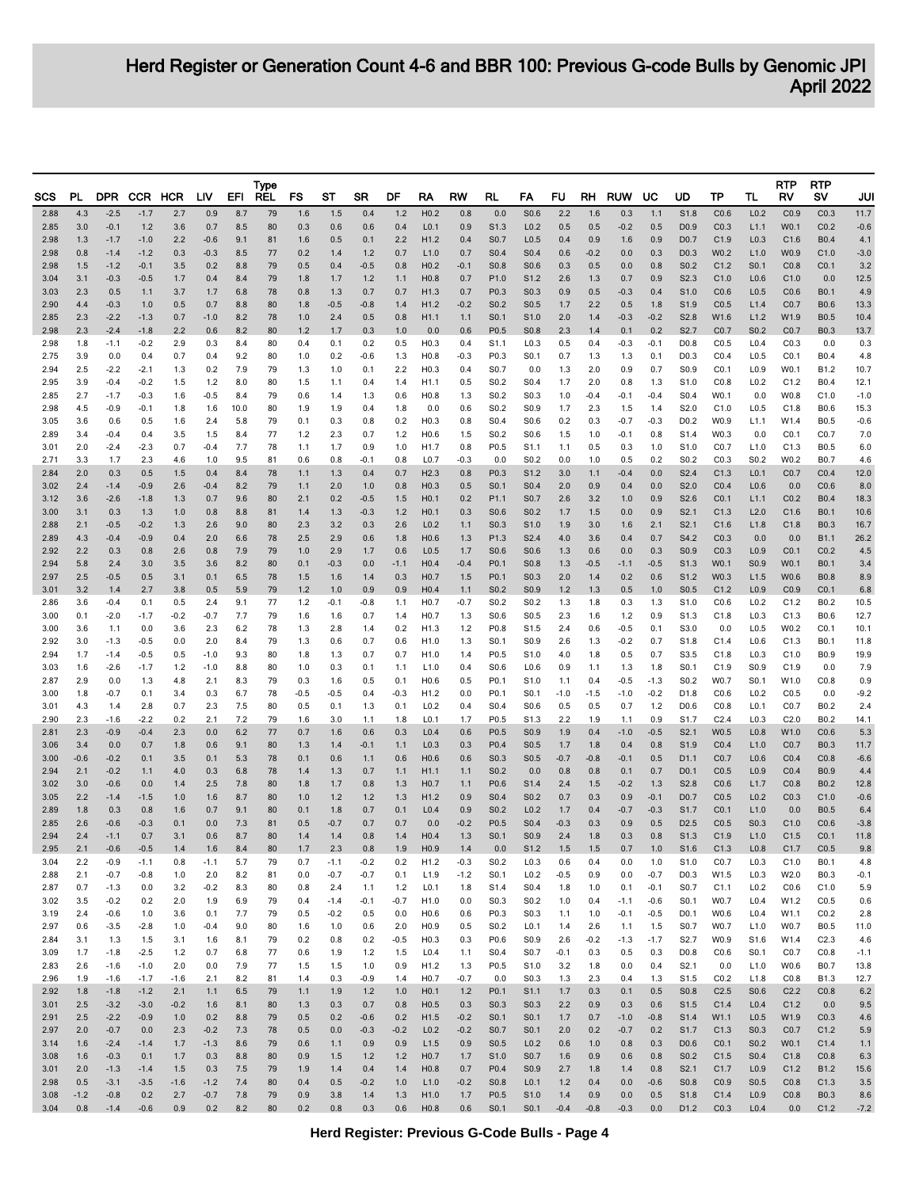| SCS          | PL.           | <b>DPR</b>       |                  | CCR HCR       | LIV              | EFI        | <b>Type</b><br><b>REL</b> | FS            | ST            | SR            | DF              | RA                                   | RW            | RL                                   | FA                                   | FU            | RH            | <b>RUW</b>    | UC               | UD                                   | ТP                       | TL                                   | RTP<br>RV    | <b>RTP</b><br>sv           | JUI            |
|--------------|---------------|------------------|------------------|---------------|------------------|------------|---------------------------|---------------|---------------|---------------|-----------------|--------------------------------------|---------------|--------------------------------------|--------------------------------------|---------------|---------------|---------------|------------------|--------------------------------------|--------------------------|--------------------------------------|--------------|----------------------------|----------------|
| 2.88         | 4.3           | $-2.5$           | $-1.7$           | 2.7           | 0.9              | 8.7        | 79                        | 1.6           | 1.5           | 0.4           | $1.2$           | H <sub>0.2</sub>                     | 0.8           | 0.0                                  | S0.6                                 | 2.2           | 1.6           | 0.3           | 1.1              | S1.8                                 | CO.6                     | L <sub>0.2</sub>                     | CO.9         | CO.3                       | 11.7           |
| 2.85         | 3.0           | $-0.1$           | $1.2$            | 3.6           | 0.7              | 8.5        | 80                        | 0.3           | 0.6           | 0.6           | 0.4             | L <sub>0.1</sub>                     | 0.9           | S1.3                                 | L <sub>0.2</sub>                     | 0.5           | 0.5           | $-0.2$        | 0.5              | D <sub>0.9</sub>                     | CO.3                     | L1.1                                 | W0.1         | CO.2                       | $-0.6$         |
| 2.98<br>2.98 | 1.3<br>0.8    | $-1.7$<br>$-1.4$ | $-1.0$<br>$-1.2$ | 2.2<br>0.3    | $-0.6$<br>$-0.3$ | 9.1<br>8.5 | 81<br>77                  | 1.6<br>0.2    | 0.5<br>1.4    | 0.1<br>$1.2$  | 2.2<br>0.7      | H1.2<br>L1.0                         | 0.4<br>0.7    | S <sub>0.7</sub><br>S <sub>0.4</sub> | L <sub>0.5</sub><br>S <sub>0.4</sub> | 0.4<br>0.6    | 0.9<br>$-0.2$ | 1.6<br>0.0    | 0.9<br>0.3       | D <sub>0.7</sub><br>D <sub>0.3</sub> | C1.9<br>W0.2             | L <sub>0.3</sub><br>L1.0             | C1.6<br>W0.9 | <b>B0.4</b><br>C1.0        | 4.1<br>$-3.0$  |
| 2.98         | 1.5           | $-1.2$           | $-0.1$           | 3.5           | 0.2              | 8.8        | 79                        | 0.5           | 0.4           | $-0.5$        | 0.8             | H <sub>0.2</sub>                     | $-0.1$        | S0.8                                 | S <sub>0.6</sub>                     | 0.3           | 0.5           | 0.0           | 0.8              | S <sub>0.2</sub>                     | C1.2                     | S <sub>0.1</sub>                     | CO.8         | CO.1                       | 3.2            |
| 3.04         | 3.1           | $-0.3$           | $-0.5$           | 1.7           | 0.4              | 8.4        | 79                        | 1.8           | 1.7           | $1.2$         | 1.1             | H <sub>0.8</sub>                     | 0.7           | P <sub>1.0</sub>                     | S <sub>1.2</sub>                     | 2.6           | 1.3           | 0.7           | 0.9              | S <sub>2.3</sub>                     | C1.0                     | L <sub>0.6</sub>                     | C1.0         | 0.0                        | 12.5           |
| 3.03<br>2.90 | 2.3<br>4.4    | 0.5<br>$-0.3$    | 1.1<br>1.0       | 3.7<br>0.5    | 1.7<br>0.7       | 6.8<br>8.8 | 78<br>80                  | 0.8<br>1.8    | 1.3<br>$-0.5$ | 0.7<br>$-0.8$ | 0.7<br>1.4      | H1.3<br>H1.2                         | 0.7<br>$-0.2$ | P <sub>0.3</sub><br>S <sub>0.2</sub> | S <sub>0.3</sub><br>S0.5             | 0.9<br>1.7    | 0.5<br>2.2    | $-0.3$<br>0.5 | 0.4<br>1.8       | S <sub>1.0</sub><br>S <sub>1.9</sub> | CO.6<br>CO.5             | L <sub>0.5</sub><br>L1.4             | CO.6<br>CO.7 | <b>B0.1</b><br><b>B0.6</b> | 4.9<br>13.3    |
| 2.85         | 2.3           | $-2.2$           | $-1.3$           | 0.7           | $-1.0$           | 8.2        | 78                        | 1.0           | 2.4           | 0.5           | 0.8             | H1.1                                 | 1.1           | S0.1                                 | S <sub>1.0</sub>                     | 2.0           | 1.4           | $-0.3$        | $-0.2$           | S2.8                                 | W1.6                     | L1.2                                 | W1.9         | <b>B0.5</b>                | 10.4           |
| 2.98         | 2.3           | $-2.4$<br>$-1.1$ | $-1.8$<br>$-0.2$ | 2.2           | 0.6              | 8.2        | 80<br>80                  | 1.2           | 1.7           | 0.3           | 1.0             | 0.0<br>H <sub>0.3</sub>              | 0.6           | P <sub>0.5</sub><br>S1.1             | S <sub>0.8</sub>                     | 2.3<br>0.5    | 1.4           | 0.1           | 0.2              | S <sub>2.7</sub>                     | CO.7                     | S <sub>0.2</sub><br>L <sub>0.4</sub> | CO.7<br>CO.3 | <b>B0.3</b><br>0.0         | 13.7<br>0.3    |
| 2.98<br>2.75 | 1.8<br>3.9    | 0.0              | 0.4              | 2.9<br>0.7    | 0.3<br>0.4       | 8.4<br>9.2 | 80                        | 0.4<br>1.0    | 0.1<br>0.2    | 0.2<br>$-0.6$ | 0.5<br>1.3      | H <sub>0.8</sub>                     | 0.4<br>-0.3   | P0.3                                 | L <sub>0.3</sub><br>S <sub>0.1</sub> | 0.7           | 0.4<br>1.3    | $-0.3$<br>1.3 | $-0.1$<br>0.1    | D <sub>0.8</sub><br>D <sub>0.3</sub> | CO.5<br>CO.4             | L <sub>0.5</sub>                     | CO.1         | B0.4                       | 4.8            |
| 2.94         | 2.5           | $-2.2$           | $-2.1$           | 1.3           | 0.2              | 7.9        | 79                        | 1.3           | 1.0           | 0.1           | 2.2             | H <sub>0.3</sub>                     | 0.4           | S0.7                                 | 0.0                                  | 1.3           | 2.0           | 0.9           | 0.7              | S <sub>0.9</sub>                     | CO.1                     | L <sub>0.9</sub>                     | W0.1         | B1.2                       | 10.7           |
| 2.95<br>2.85 | 3.9<br>2.7    | $-0.4$<br>$-1.7$ | $-0.2$<br>$-0.3$ | 1.5<br>1.6    | $1.2$<br>$-0.5$  | 8.0<br>8.4 | 80<br>79                  | 1.5<br>0.6    | 1.1<br>1.4    | 0.4<br>1.3    | 1.4<br>0.6      | H <sub>1.1</sub><br>H <sub>0.8</sub> | 0.5<br>1.3    | S <sub>0.2</sub><br>S <sub>0.2</sub> | S <sub>0.4</sub><br>S <sub>0.3</sub> | 1.7<br>1.0    | 2.0<br>$-0.4$ | 0.8<br>$-0.1$ | 1.3<br>$-0.4$    | S <sub>1.0</sub><br>S <sub>0.4</sub> | CO.8<br>W0.1             | L <sub>0.2</sub><br>0.0              | C1.2<br>W0.8 | B0.4<br>C1.0               | 12.1<br>$-1.0$ |
| 2.98         | 4.5           | $-0.9$           | $-0.1$           | 1.8           | 1.6              | 10.0       | 80                        | 1.9           | 1.9           | 0.4           | 1.8             | 0.0                                  | 0.6           | S <sub>0.2</sub>                     | S <sub>0.9</sub>                     | 1.7           | 2.3           | 1.5           | 1.4              | S2.0                                 | C1.0                     | L <sub>0.5</sub>                     | C1.8         | B0.6                       | 15.3           |
| 3.05         | 3.6           | 0.6              | 0.5              | 1.6           | 2.4              | 5.8        | 79                        | 0.1           | 0.3           | 0.8           | 0.2             | H <sub>0.3</sub>                     | 0.8           | S0.4                                 | S0.6                                 | 0.2           | 0.3           | $-0.7$        | $-0.3$           | D <sub>0.2</sub>                     | W0.9                     | L1.1                                 | W1.4         | <b>B0.5</b>                | $-0.6$         |
| 2.89<br>3.01 | 3.4<br>2.0    | $-0.4$<br>$-2.4$ | 0.4<br>$-2.3$    | 3.5<br>0.7    | 1.5<br>$-0.4$    | 8.4<br>7.7 | 77<br>78                  | 1.2<br>1.1    | 2.3<br>1.7    | 0.7<br>0.9    | $1.2$<br>1.0    | H0.6<br>H <sub>1.7</sub>             | 1.5<br>0.8    | S0.2<br>P <sub>0.5</sub>             | S0.6<br>S <sub>1.1</sub>             | 1.5<br>1.1    | 1.0<br>0.5    | $-0.1$<br>0.3 | 0.8<br>1.0       | S <sub>1.4</sub><br>S <sub>1.0</sub> | W0.3<br>CO.7             | 0.0<br>L1.0                          | CO.1<br>C1.3 | CO.7<br>B0.5               | 7.0<br>6.0     |
| 2.71         | 3.3           | 1.7              | 2.3              | 4.6           | 1.0              | 9.5        | 81                        | 0.6           | 0.8           | $-0.1$        | 0.8             | L <sub>0.7</sub>                     | -0.3          | 0.0                                  | S <sub>0.2</sub>                     | 0.0           | 1.0           | 0.5           | 0.2              | S <sub>0.2</sub>                     | CO.3                     | S0.2                                 | W0.2         | B0.7                       | 4.6            |
| 2.84         | 2.0           | 0.3              | 0.5              | 1.5           | 0.4              | 8.4        | 78                        | 1.1           | 1.3           | 0.4           | 0.7             | H2.3                                 | 0.8           | P0.3                                 | S <sub>1.2</sub>                     | 3.0           | 1.1           | $-0.4$        | 0.0              | S2.4                                 | C1.3                     | L <sub>0.1</sub>                     | CO.7         | CO.4                       | 12.0           |
| 3.02<br>3.12 | 2.4<br>3.6    | $-1.4$<br>$-2.6$ | $-0.9$<br>$-1.8$ | 2.6<br>1.3    | $-0.4$<br>0.7    | 8.2<br>9.6 | 79<br>80                  | 1.1<br>2.1    | 2.0<br>0.2    | 1.0<br>$-0.5$ | 0.8<br>1.5      | H <sub>0.3</sub><br>H0.1             | 0.5<br>0.2    | S0.1<br>P1.1                         | S0.4<br>S <sub>0.7</sub>             | 2.0<br>2.6    | 0.9<br>3.2    | 0.4<br>1.0    | 0.0<br>0.9       | S2.0<br>S <sub>2.6</sub>             | CO.4<br>CO.1             | L <sub>0.6</sub><br>L1.1             | 0.0<br>CO.2  | CO.6<br>B <sub>0.4</sub>   | 8.0<br>18.3    |
| 3.00         | 3.1           | 0.3              | 1.3              | 1.0           | 0.8              | 8.8        | 81                        | 1.4           | 1.3           | $-0.3$        | $1.2$           | H <sub>0.1</sub>                     | 0.3           | S <sub>0.6</sub>                     | S <sub>0.2</sub>                     | 1.7           | 1.5           | 0.0           | 0.9              | S <sub>2.1</sub>                     | C1.3                     | L2.0                                 | C1.6         | <b>B0.1</b>                | 10.6           |
| 2.88         | 2.1           | $-0.5$           | $-0.2$           | 1.3           | 2.6              | 9.0        | 80                        | 2.3           | 3.2           | 0.3           | 2.6             | L <sub>0.2</sub>                     | 1.1           | S <sub>0.3</sub>                     | S <sub>1.0</sub>                     | 1.9           | 3.0           | 1.6           | 2.1              | S <sub>2.1</sub>                     | C1.6                     | L1.8                                 | C1.8         | <b>B0.3</b>                | 16.7           |
| 2.89<br>2.92 | 4.3<br>2.2    | $-0.4$<br>0.3    | $-0.9$<br>0.8    | 0.4<br>2.6    | 2.0<br>0.8       | 6.6<br>7.9 | 78<br>79                  | 2.5<br>1.0    | 2.9<br>2.9    | 0.6<br>1.7    | 1.8<br>0.6      | H0.6<br>L <sub>0.5</sub>             | 1.3<br>1.7    | P1.3<br>S0.6                         | S2.4<br>S0.6                         | 4.0<br>1.3    | 3.6<br>0.6    | 0.4<br>0.0    | 0.7<br>0.3       | S4.2<br>S <sub>0.9</sub>             | CO.3<br>CO.3             | 0.0<br>L <sub>0.9</sub>              | 0.0<br>CO.1  | <b>B1.1</b><br>CO.2        | 26.2<br>4.5    |
| 2.94         | 5.8           | 2.4              | 3.0              | 3.5           | 3.6              | 8.2        | 80                        | 0.1           | $-0.3$        | 0.0           | $-1.1$          | H <sub>0.4</sub>                     | $-0.4$        | P <sub>0.1</sub>                     | S <sub>0.8</sub>                     | 1.3           | $-0.5$        | $-1.1$        | $-0.5$           | S <sub>1.3</sub>                     | W0.1                     | S <sub>0.9</sub>                     | W0.1         | <b>B0.1</b>                | 3.4            |
| 2.97         | 2.5           | $-0.5$           | 0.5              | 3.1           | 0.1              | 6.5        | 78                        | 1.5           | 1.6           | 1.4           | 0.3             | H <sub>0.7</sub>                     | 1.5           | P <sub>0.1</sub>                     | S <sub>0.3</sub>                     | 2.0           | 1.4           | 0.2           | 0.6              | S <sub>1.2</sub>                     | W0.3                     | L1.5                                 | W0.6         | <b>B0.8</b>                | 8.9            |
| 3.01<br>2.86 | 3.2<br>3.6    | 1.4<br>$-0.4$    | 2.7<br>0.1       | 3.8<br>0.5    | 0.5<br>2.4       | 5.9<br>9.1 | 79<br>77                  | 1.2<br>1.2    | 1.0<br>-0.1   | 0.9<br>$-0.8$ | 0.9<br>1.1      | H <sub>0.4</sub><br>H <sub>0.7</sub> | 1.1<br>-0.7   | S0.2<br>S0.2                         | S0.9<br>S <sub>0.2</sub>             | 1.2<br>1.3    | 1.3<br>1.8    | 0.5<br>0.3    | 1.0<br>1.3       | S <sub>0.5</sub><br>S <sub>1.0</sub> | C1.2<br>CO.6             | L <sub>0.9</sub><br>L <sub>0.2</sub> | CO.9<br>C1.2 | CO.1<br>B0.2               | 6.8<br>10.5    |
| 3.00         | 0.1           | $-2.0$           | $-1.7$           | $-0.2$        | $-0.7$           | 7.7        | 79                        | 1.6           | 1.6           | 0.7           | 1.4             | H <sub>0.7</sub>                     | 1.3           | S <sub>0.6</sub>                     | S <sub>0.5</sub>                     | 2.3           | 1.6           | 1.2           | 0.9              | S <sub>1.3</sub>                     | C1.8                     | L <sub>0.3</sub>                     | C1.3         | B0.6                       | 12.7           |
| 3.00         | 3.6           | 1.1              | 0.0              | 3.6           | 2.3              | 6.2        | 78                        | 1.3           | 2.8           | 1.4           | 0.2             | H1.3                                 | 1.2           | P0.8                                 | S <sub>1.5</sub>                     | 2.4           | 0.6           | $-0.5$        | 0.1              | S3.0                                 | 0.0                      | L <sub>0.5</sub>                     | W0.2         | CO.1                       | 10.1           |
| 2.92<br>2.94 | 3.0<br>1.7    | $-1.3$<br>$-1.4$ | $-0.5$<br>$-0.5$ | 0.0<br>0.5    | 2.0<br>$-1.0$    | 8.4<br>9.3 | 79<br>80                  | 1.3<br>1.8    | 0.6<br>1.3    | 0.7<br>0.7    | 0.6<br>0.7      | H1.0<br>H1.0                         | 1.3<br>1.4    | S0.1<br>P0.5                         | S0.9<br>S1.0                         | 2.6<br>4.0    | 1.3<br>1.8    | $-0.2$<br>0.5 | 0.7<br>0.7       | S1.8<br>S3.5                         | C1.4<br>C1.8             | L <sub>0.6</sub><br>L <sub>0.3</sub> | C1.3<br>C1.0 | B0.1<br>B0.9               | 11.8<br>19.9   |
| 3.03         | 1.6           | $-2.6$           | $-1.7$           | 1.2           | $-1.0$           | 8.8        | 80                        | 1.0           | 0.3           | 0.1           | 1.1             | L1.0                                 | 0.4           | S0.6                                 | L <sub>0.6</sub>                     | 0.9           | 1.1           | 1.3           | 1.8              | S <sub>0.1</sub>                     | C1.9                     | S0.9                                 | C1.9         | 0.0                        | 7.9            |
| 2.87         | 2.9           | 0.0              | 1.3              | 4.8           | 2.1              | 8.3        | 79                        | 0.3           | 1.6           | 0.5           | 0.1             | H <sub>0.6</sub>                     | 0.5           | P0.1                                 | S <sub>1.0</sub>                     | 1.1           | 0.4           | $-0.5$        | $-1.3$           | S <sub>0.2</sub>                     | W0.7                     | S0.1                                 | W1.0         | CO.8                       | 0.9            |
| 3.00<br>3.01 | 1.8<br>4.3    | $-0.7$<br>1.4    | 0.1<br>2.8       | 3.4<br>0.7    | 0.3<br>2.3       | 6.7<br>7.5 | 78<br>80                  | $-0.5$<br>0.5 | -0.5<br>0.1   | 0.4<br>1.3    | -0.3<br>0.1     | H1.2<br>L <sub>0.2</sub>             | 0.0<br>0.4    | P0.1<br>S <sub>0.4</sub>             | S0.1<br>S <sub>0.6</sub>             | $-1.0$<br>0.5 | $-1.5$<br>0.5 | $-1.0$<br>0.7 | $-0.2$<br>1.2    | D1.8<br>D <sub>0.6</sub>             | CO.6<br>CO.8             | L <sub>0.2</sub><br>L <sub>0.1</sub> | CO.5<br>CO.7 | 0.0<br>B0.2                | $-9.2$<br>2.4  |
| 2.90         | 2.3           | $-1.6$           | $-2.2$           | 0.2           | 2.1              | 7.2        | 79                        | 1.6           | 3.0           | 1.1           | 1.8             | L <sub>0.1</sub>                     | 1.7           | P <sub>0.5</sub>                     | S <sub>1.3</sub>                     | 2.2           | 1.9           | 1.1           | 0.9              | S <sub>1.7</sub>                     | C <sub>2.4</sub>         | L <sub>0.3</sub>                     | C2.0         | B <sub>0.2</sub>           | 14.1           |
| 2.81         | 2.3           | $-0.9$           | $-0.4$           | 2.3           | 0.0              | 6.2        | 77                        | 0.7           | 1.6           | 0.6           | 0.3             | L <sub>0.4</sub>                     | 0.6           | P0.5<br>P <sub>0.4</sub>             | S0.9                                 | 1.9           | 0.4           | $-1.0$        | $-0.5$           | S <sub>2.1</sub>                     | W0.5                     | L <sub>0.8</sub>                     | W1.0         | CO.6<br><b>B0.3</b>        | 5.3            |
| 3.06<br>3.00 | 3.4<br>$-0.6$ | 0.0<br>$-0.2$    | 0.7<br>0.1       | 1.8<br>3.5    | 0.6<br>0.1       | 9.1<br>5.3 | 80<br>78                  | 1.3<br>0.1    | 1.4<br>0.6    | $-0.1$<br>1.1 | 1.1<br>0.6      | L <sub>0.3</sub><br>H0.6             | 0.3<br>0.6    | S0.3                                 | S0.5<br>S0.5                         | 1.7<br>$-0.7$ | 1.8<br>$-0.8$ | 0.4<br>$-0.1$ | 0.8<br>0.5       | S <sub>1.9</sub><br>D <sub>1.1</sub> | CO.4<br>CO.7             | L1.0<br>L <sub>0.6</sub>             | CO.7<br>CO.4 | CO.8                       | 11.7<br>$-6.6$ |
| 2.94         | 2.1           | $-0.2$           | 1.1              | 4.0           | 0.3              | 6.8        | 78                        | 1.4           | 1.3           | 0.7           | 1.1             | H1.1                                 | 1.1           | S <sub>0.2</sub>                     | 0.0                                  | 0.8           | 0.8           | 0.1           | 0.7              | D <sub>0.1</sub>                     | CO.5                     | L <sub>0.9</sub>                     | CO.4         | B <sub>0.9</sub>           | 4.4            |
| 3.02         | 3.0           | $-0.6$           | 0.0              | 1.4           | 2.5              | 7.8        | 80                        | 1.8           | 1.7           | 0.8           | 1.3             | H <sub>0.7</sub>                     | 1.1           | P <sub>0.6</sub>                     | S <sub>1.4</sub>                     | 2.4           | 1.5           | $-0.2$        | 1.3              | S <sub>2.8</sub>                     | CO.6                     | L1.7                                 | CO.8         | B <sub>0.2</sub>           | 12.8           |
| 3.05<br>2.89 | 2.2<br>1.8    | $-1.4$<br>0.3    | $-1.5$<br>0.8    | 1.0<br>1.6    | 1.6<br>0.7       | 8.7<br>9.1 | 80<br>80                  | 1.0<br>0.1    | 1.2<br>1.8    | 1.2<br>0.7    | 1.3<br>0.1      | H <sub>1.2</sub><br>L <sub>0.4</sub> | 0.9<br>0.9    | S <sub>0.4</sub><br>S0.2             | S <sub>0.2</sub><br>L <sub>0.2</sub> | 0.7<br>1.7    | 0.3<br>0.4    | 0.9<br>$-0.7$ | $-0.1$<br>$-0.3$ | D <sub>0.7</sub><br>S <sub>1.7</sub> | CO.5<br>CO.1             | L <sub>0.2</sub><br>L1.0             | CO.3<br>0.0  | C1.0<br>B0.5               | $-0.6$<br>6.4  |
| 2.85         | 2.6           | $-0.6$           | $-0.3$           | 0.1           | 0.0              | 7.3        | 81                        | 0.5           | $-0.7$        | 0.7           | 0.7             | 0.0                                  | $-0.2$        | P0.5                                 | S0.4                                 | $-0.3$        | 0.3           | 0.9           | 0.5              | D <sub>2.5</sub>                     | CO.5                     | S0.3                                 | C1.0         | CO.6                       | $-3.8$         |
| 2.94         | 2.4           | $-1.1$           | 0.7              | 3.1           | 0.6              | 8.7        | 80                        | 1.4           | 1.4           | 0.8           | 1.4             | H <sub>0.4</sub>                     | 1.3           | S <sub>0.1</sub>                     | S <sub>0.9</sub>                     | 2.4           | 1.8           | 0.3           | 0.8              | S <sub>1.3</sub>                     | C1.9                     | L1.0                                 | C1.5         | CO.1                       | 11.8           |
| 2.95<br>3.04 | 2.1<br>2.2    | $-0.6$<br>$-0.9$ | $-0.5$<br>$-1.1$ | 1.4<br>0.8    | 1.6<br>$-1.1$    | 8.4<br>5.7 | 80<br>79                  | 1.7<br>0.7    | 2.3<br>$-1.1$ | 0.8<br>$-0.2$ | 1.9<br>0.2      | H <sub>0.9</sub><br>H1.2             | 1.4<br>$-0.3$ | 0.0<br>S0.2                          | S <sub>1.2</sub><br>L <sub>0.3</sub> | 1.5<br>0.6    | 1.5<br>0.4    | 0.7<br>0.0    | 1.0<br>1.0       | S <sub>1.6</sub><br>S1.0             | C1.3<br>CO.7             | L <sub>0.8</sub><br>L <sub>0.3</sub> | C1.7<br>C1.0 | CO.5<br><b>B0.1</b>        | 9.8<br>4.8     |
| 2.88         | 2.1           | $-0.7$           | $-0.8$           | 1.0           | 2.0              | 8.2        | 81                        | 0.0           | $-0.7$        | $-0.7$        | 0.1             | L1.9                                 | $-1.2$        | S0.1                                 | L <sub>0.2</sub>                     | $-0.5$        | 0.9           | 0.0           | $-0.7$           | D <sub>0.3</sub>                     | W1.5                     | L <sub>0.3</sub>                     | W2.0         | B0.3                       | $-0.1$         |
| 2.87<br>3.02 | 0.7<br>3.5    | $-1.3$<br>$-0.2$ | 0.0<br>0.2       | 3.2<br>2.0    | $-0.2$<br>1.9    | 8.3<br>6.9 | 80<br>79                  | 0.8<br>0.4    | 2.4<br>$-1.4$ | 1.1<br>$-0.1$ | $1.2$<br>$-0.7$ | L <sub>0.1</sub><br>H1.0             | 1.8<br>0.0    | S1.4<br>S0.3                         | S <sub>0.4</sub><br>S <sub>0.2</sub> | 1.8<br>1.0    | 1.0<br>0.4    | 0.1<br>$-1.1$ | $-0.1$<br>$-0.6$ | S <sub>0.7</sub><br>S <sub>0.1</sub> | C1.1<br>W0.7             | L <sub>0.2</sub><br>L <sub>0.4</sub> | CO.6<br>W1.2 | C1.0<br>CO.5               | 5.9<br>0.6     |
| 3.19         | 2.4           | $-0.6$           | 1.0              | 3.6           | 0.1              | 7.7        | 79                        | 0.5           | $-0.2$        | 0.5           | 0.0             | H0.6                                 | 0.6           | P0.3                                 | S0.3                                 | 1.1           | 1.0           | $-0.1$        | $-0.5$           | D <sub>0.1</sub>                     | W0.6                     | L <sub>0.4</sub>                     | W1.1         | CO.2                       | 2.8            |
| 2.97         | 0.6           | $-3.5$           | $-2.8$           | 1.0           | $-0.4$           | 9.0        | 80                        | 1.6           | 1.0           | 0.6           | 2.0             | H <sub>0.9</sub>                     | 0.5           | S0.2                                 | L <sub>0.1</sub>                     | 1.4           | 2.6           | 1.1           | 1.5              | S <sub>0.7</sub>                     | W0.7                     | L1.0                                 | W0.7         | <b>B0.5</b>                | 11.0           |
| 2.84<br>3.09 | 3.1<br>1.7    | 1.3<br>$-1.8$    | 1.5<br>$-2.5$    | 3.1<br>1.2    | 1.6<br>0.7       | 8.1<br>6.8 | 79<br>77                  | 0.2<br>0.6    | 0.8<br>1.9    | 0.2<br>$1.2$  | $-0.5$<br>1.5   | H <sub>0.3</sub><br>L <sub>0.4</sub> | 0.3<br>1.1    | P0.6<br>S <sub>0.4</sub>             | S0.9<br>S0.7                         | 2.6<br>$-0.1$ | $-0.2$<br>0.3 | $-1.3$<br>0.5 | $-1.7$<br>0.3    | S <sub>2.7</sub><br>D <sub>0.8</sub> | W0.9<br>CO.6             | S1.6<br>S0.1                         | W1.4<br>CO.7 | C <sub>2.3</sub><br>CO.8   | 4.6<br>$-1.1$  |
| 2.83         | 2.6           | $-1.6$           | $-1.0$           | 2.0           | 0.0              | 7.9        | 77                        | 1.5           | 1.5           | 1.0           | 0.9             | H <sub>1.2</sub>                     | 1.3           | P0.5                                 | S1.0                                 | 3.2           | 1.8           | 0.0           | 0.4              | S <sub>2.1</sub>                     | 0.0                      | L1.0                                 | W0.6         | <b>B0.7</b>                | 13.8           |
| 2.96         | 1.9           | $-1.6$           | $-1.7$           | $-1.6$        | 2.1              | 8.2        | 81                        | 1.4           | 0.3           | $-0.9$        | 1.4             | H <sub>0.7</sub>                     | $-0.7$        | 0.0                                  | S <sub>0.3</sub>                     | 1.3           | 2.3           | 0.4           | 1.3              | S <sub>1.5</sub>                     | CO.2                     | L1.8                                 | CO.8         | <b>B1.3</b>                | 12.7           |
| 2.92<br>3.01 | 1.8<br>2.5    | $-1.8$<br>$-3.2$ | $-1.2$<br>$-3.0$ | 2.1<br>$-0.2$ | 1.1<br>1.6       | 6.5<br>8.1 | 79<br>80                  | 1.1<br>1.3    | 1.9<br>0.3    | $1.2$<br>0.7  | 1.0<br>0.8      | H <sub>0.1</sub><br>H0.5             | $1.2$<br>0.3  | P <sub>0.1</sub><br>S0.3             | S <sub>1.1</sub><br>S <sub>0.3</sub> | 1.7<br>2.2    | 0.3<br>0.9    | 0.1<br>0.3    | 0.5<br>0.6       | S <sub>0.8</sub><br>S <sub>1.5</sub> | C <sub>2.5</sub><br>C1.4 | S0.6<br>L <sub>0.4</sub>             | C2.2<br>C1.2 | CO.8<br>0.0                | 6.2<br>9.5     |
| 2.91         | 2.5           | $-2.2$           | $-0.9$           | 1.0           | 0.2              | 8.8        | 79                        | 0.5           | 0.2           | $-0.6$        | 0.2             | H1.5                                 | $-0.2$        | S0.1                                 | S0.1                                 | 1.7           | 0.7           | $-1.0$        | $-0.8$           | S1.4                                 | W1.1                     | L <sub>0.5</sub>                     | W1.9         | CO.3                       | 4.6            |
| 2.97         | 2.0           | $-0.7$           | 0.0              | 2.3           | $-0.2$           | 7.3        | 78                        | 0.5           | 0.0           | $-0.3$        | $-0.2$          | L <sub>0.2</sub>                     | $-0.2$        | S0.7                                 | S0.1                                 | 2.0           | 0.2           | $-0.7$        | 0.2              | S1.7                                 | C1.3                     | S0.3                                 | CO.7         | C1.2                       | 5.9            |
| 3.14<br>3.08 | 1.6<br>1.6    | $-2.4$<br>$-0.3$ | $-1.4$<br>0.1    | 1.7<br>1.7    | $-1.3$<br>0.3    | 8.6<br>8.8 | 79<br>80                  | 0.6<br>0.9    | 1.1<br>1.5    | 0.9<br>$1.2$  | 0.9<br>$1.2$    | L1.5<br>H <sub>0.7</sub>             | 0.9<br>1.7    | S <sub>0.5</sub><br>S1.0             | L <sub>0.2</sub><br>S0.7             | 0.6<br>1.6    | 1.0<br>0.9    | 0.8<br>0.6    | 0.3<br>0.8       | D <sub>0.6</sub><br>S <sub>0.2</sub> | CO.1<br>C1.5             | S <sub>0.2</sub><br>S0.4             | W0.1<br>C1.8 | C1.4<br>CO.8               | 1.1<br>6.3     |
| 3.01         | 2.0           | $-1.3$           | $-1.4$           | 1.5           | 0.3              | 7.5        | 79                        | 1.9           | 1.4           | 0.4           | 1.4             | H <sub>0.8</sub>                     | 0.7           | P0.4                                 | S0.9                                 | 2.7           | 1.8           | 1.4           | 0.8              | S <sub>2.1</sub>                     | C1.7                     | L <sub>0.9</sub>                     | C1.2         | <b>B1.2</b>                | 15.6           |
| 2.98         | 0.5           | $-3.1$           | $-3.5$           | $-1.6$        | $-1.2$           | 7.4        | 80                        | 0.4           | 0.5           | $-0.2$        | 1.0             | L1.0                                 | $-0.2$        | S0.8                                 | L <sub>0.1</sub>                     | 1.2           | 0.4           | 0.0           | $-0.6$           | S <sub>0.8</sub>                     | CO.9                     | S <sub>0.5</sub>                     | CO.8         | C1.3                       | 3.5            |
| 3.08<br>3.04 | $-1.2$<br>0.8 | $-0.8$<br>$-1.4$ | 0.2<br>$-0.6$    | 2.7<br>0.9    | $-0.7$<br>0.2    | 7.8<br>8.2 | 79<br>80                  | 0.9<br>0.2    | 3.8<br>0.8    | 1.4<br>0.3    | 1.3<br>0.6      | H1.0<br>H <sub>0.8</sub>             | 1.7<br>0.6    | P <sub>0.5</sub><br>S0.1             | S <sub>1.0</sub><br>S0.1             | 1.4<br>$-0.4$ | 0.9<br>$-0.8$ | 0.0<br>$-0.3$ | 0.5<br>0.0       | S <sub>1.8</sub><br>D1.2             | C1.4<br>CO.3             | L <sub>0.9</sub><br>L <sub>0.4</sub> | CO.8<br>0.0  | <b>B0.3</b><br>C1.2        | 8.6<br>$-7.2$  |
|              |               |                  |                  |               |                  |            |                           |               |               |               |                 |                                      |               |                                      |                                      |               |               |               |                  |                                      |                          |                                      |              |                            |                |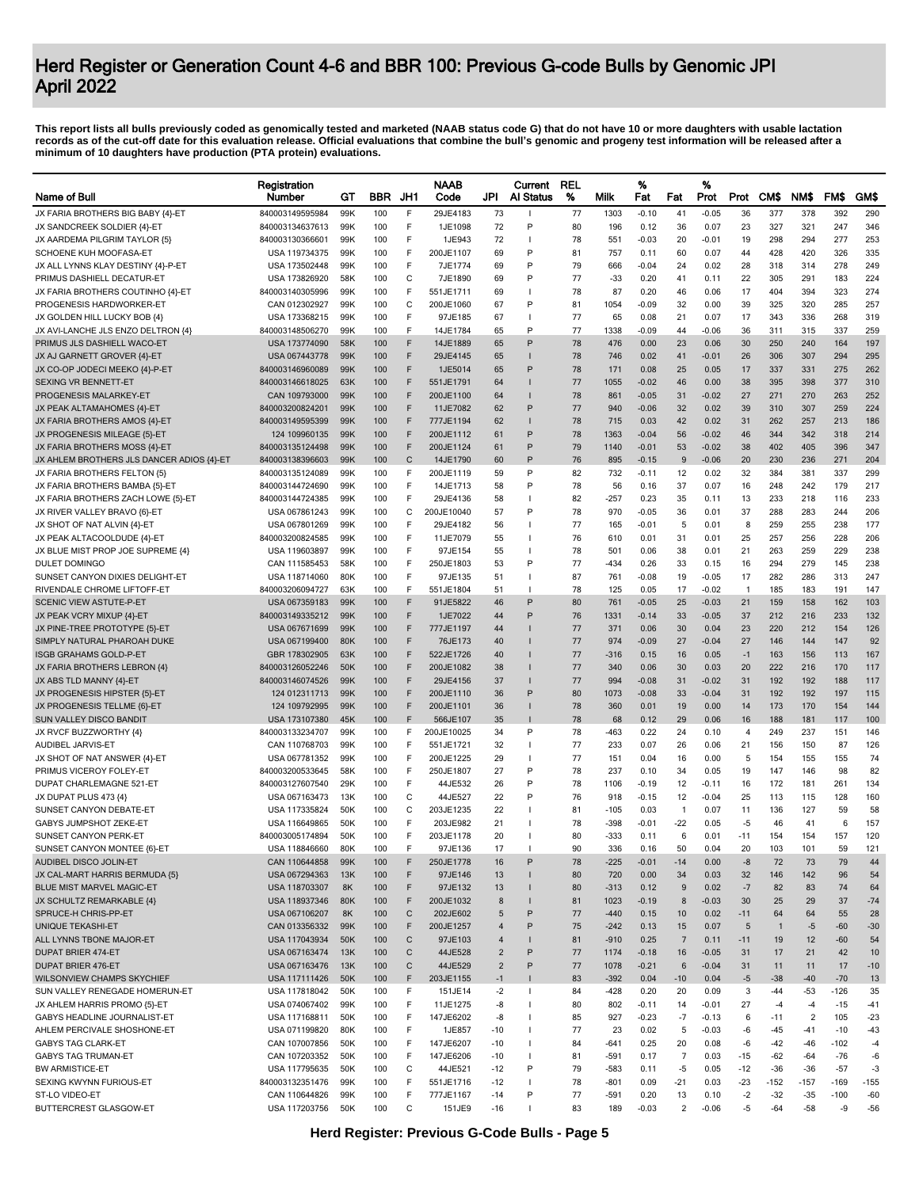|                                                                  | Registration                     |            |            |                  | <b>NAAB</b>          |                | Current      | <b>REL</b> |               | %               |                | %            |                |                |                |            |            |
|------------------------------------------------------------------|----------------------------------|------------|------------|------------------|----------------------|----------------|--------------|------------|---------------|-----------------|----------------|--------------|----------------|----------------|----------------|------------|------------|
| <b>Name of Bull</b>                                              | Number                           | GТ         | <b>BBR</b> | JH1              | Code                 | JPI            | Al Status    | %          | Milk          | Fat             | Fat            | Prot         | Prot           | CM\$           | NM\$           | FM\$       | GM\$       |
| JX FARIA BROTHERS BIG BABY {4}-ET                                | 840003149595984                  | 99K        | 100        | F                | 29JE4183             | 73             | H            | 77         | 1303          | $-0.10$         | 41             | $-0.05$      | 36             | 377            | 378            | 392        | 290        |
| JX SANDCREEK SOLDIER {4}-ET                                      | 840003134637613                  | 99K        | 100        | F                | 1JE1098              | 72             | P            | 80         | 196           | 0.12            | 36             | 0.07         | 23             | 327            | 321            | 247        | 346        |
| JX AARDEMA PILGRIM TAYLOR {5}                                    | 840003130366601                  | 99K        | 100        | F                | 1JE943               | 72             | T            | 78         | 551           | $-0.03$         | 20             | $-0.01$      | 19             | 298            | 294            | 277        | 253        |
| SCHOENE KUH MOOFASA-ET                                           | USA 119734375                    | 99K        | 100        | F                | 200JE1107            | 69             | P            | 81         | 757           | 0.11            | 60             | 0.07         | 44             | 428            | 420            | 326        | 335        |
| JX ALL LYNNS KLAY DESTINY {4}-P-ET<br>PRIMUS DASHIELL DECATUR-ET | USA 173502448<br>USA 173826920   | 99K<br>58K | 100<br>100 | F<br>$\mathsf C$ | 7JE1774<br>7JE1890   | 69             | P<br>P       | 79<br>77   | 666<br>$-33$  | $-0.04$<br>0.20 | 24<br>41       | 0.02<br>0.11 | 28<br>22       | 318<br>305     | 314<br>291     | 278<br>183 | 249<br>224 |
| JX FARIA BROTHERS COUTINHO {4}-ET                                | 840003140305996                  | 99K        | 100        | F                | 551JE1711            | 69<br>69       | J.           | 78         | 87            | 0.20            | 46             | 0.06         | 17             | 404            | 394            | 323        | 274        |
| PROGENESIS HARDWORKER-ET                                         | CAN 012302927                    | 99K        | 100        | С                | 200JE1060            | 67             | P            | 81         | 1054          | -0.09           | 32             | 0.00         | 39             | 325            | 320            | 285        | 257        |
| JX GOLDEN HILL LUCKY BOB {4}                                     | USA 173368215                    | 99K        | 100        | F                | 97JE185              | 67             |              | 77         | 65            | 0.08            | 21             | 0.07         | 17             | 343            | 336            | 268        | 319        |
| JX AVI-LANCHE JLS ENZO DELTRON {4}                               | 840003148506270                  | 99K        | 100        | F                | 14JE1784             | 65             | P            | 77         | 1338          | $-0.09$         | 44             | $-0.06$      | 36             | 311            | 315            | 337        | 259        |
| PRIMUS JLS DASHIELL WACO-ET                                      | USA 173774090                    | 58K        | 100        | F                | 14JE1889             | 65             | P            | 78         | 476           | 0.00            | 23             | 0.06         | 30             | 250            | 240            | 164        | 197        |
| JX AJ GARNETT GROVER {4}-ET                                      | USA 067443778                    | 99K        | 100        | F                | 29JE4145             | 65             |              | 78         | 746           | 0.02            | 41             | $-0.01$      | 26             | 306            | 307            | 294        | 295        |
| JX CO-OP JODECI MEEKO {4}-P-ET                                   | 840003146960089                  | 99K        | 100        | F                | 1JE5014              | 65             | P            | 78         | 171           | 0.08            | 25             | 0.05         | 17             | 337            | 331            | 275        | 262        |
| SEXING VR BENNETT-ET                                             | 840003146618025                  | 63K        | 100        | F                | 551JE1791            | 64             |              | 77         | 1055          | $-0.02$         | 46             | 0.00         | 38             | 395            | 398            | 377        | 310        |
| PROGENESIS MALARKEY-ET                                           | CAN 109793000                    | 99K        | 100        | F                | 200JE1100            | 64             |              | 78         | 861           | $-0.05$         | 31             | $-0.02$      | 27             | 271            | 270            | 263        | 252        |
| JX PEAK ALTAMAHOMES {4}-ET                                       | 840003200824201                  | 99K        | 100        | F                | 11JE7082             | 62             | P            | 77         | 940           | $-0.06$         | 32             | 0.02         | 39             | 310            | 307            | 259        | 224        |
| JX FARIA BROTHERS AMOS {4}-ET                                    | 840003149595399                  | 99K        | 100        | F                | 777JE1194            | 62             | -            | 78         | 715           | 0.03            | 42             | 0.02         | 31             | 262            | 257            | 213        | 186        |
| JX PROGENESIS MILEAGE {5}-ET                                     | 124 109960135                    | 99K        | 100        | F                | 200JE1112            | 61             | P            | 78         | 1363          | $-0.04$         | 56             | $-0.02$      | 46             | 344            | 342            | 318        | 214        |
| JX FARIA BROTHERS MOSS {4}-ET                                    | 840003135124498                  | 99K        | 100        | F                | 200JE1124            | 61             | P            | 79         | 1140          | $-0.01$         | 53             | $-0.02$      | 38             | 402            | 405            | 396        | 347        |
| JX AHLEM BROTHERS JLS DANCER ADIOS {4}-ET                        | 840003138396603                  | 99K        | 100        | C                | 14JE1790             | 60             | P            | 76         | 895           | $-0.15$         | 9              | $-0.06$      | 20             | 230            | 236            | 271        | 204        |
| JX FARIA BROTHERS FELTON {5}                                     | 840003135124089                  | 99K        | 100        | F                | 200JE1119            | 59             | P            | 82         | 732           | -0.11           | 12             | 0.02         | 32             | 384            | 381            | 337        | 299        |
| JX FARIA BROTHERS BAMBA {5}-ET                                   | 840003144724690                  | 99K        | 100        | F                | 14JE1713             | 58             | P            | 78         | 56            | 0.16            | 37             | 0.07         | 16             | 248            | 242            | 179        | 217        |
| JX FARIA BROTHERS ZACH LOWE {5}-ET                               | 840003144724385                  | 99K        | 100<br>100 | F                | 29JE4136             | 58             | J.<br>P      | 82         | $-257$        | 0.23            | 35             | 0.11         | 13             | 233<br>288     | 218            | 116        | 233        |
| JX RIVER VALLEY BRAVO {6}-ET                                     | USA 067861243                    | 99K        |            | C                | 200JE10040           | 57             |              | 78         | 970           | $-0.05$         | 36             | 0.01         | 37             |                | 283            | 244        | 206        |
| JX SHOT OF NAT ALVIN {4}-ET<br>JX PEAK ALTACOOLDUDE {4}-ET       | USA 067801269<br>840003200824585 | 99K<br>99K | 100<br>100 | F<br>F           | 29JE4182<br>11JE7079 | 56<br>55       | H<br>H       | 77<br>76   | 165<br>610    | -0.01<br>0.01   | 5<br>31        | 0.01<br>0.01 | 8<br>25        | 259<br>257     | 255<br>256     | 238<br>228 | 177<br>206 |
| JX BLUE MIST PROP JOE SUPREME {4}                                | USA 119603897                    | 99K        | 100        | F                | 97JE154              | 55             | J.           | 78         | 501           | 0.06            | 38             | 0.01         | 21             | 263            | 259            | 229        | 238        |
| DULET DOMINGO                                                    | CAN 111585453                    | 58K        | 100        | F                | 250JE1803            | 53             | P            | 77         | -434          | 0.26            | 33             | 0.15         | 16             | 294            | 279            | 145        | 238        |
| SUNSET CANYON DIXIES DELIGHT-ET                                  | USA 118714060                    | 80K        | 100        | F                | 97JE135              | 51             | $\mathbf{I}$ | 87         | 761           | $-0.08$         | 19             | $-0.05$      | 17             | 282            | 286            | 313        | 247        |
| RIVENDALE CHROME LIFTOFF-ET                                      | 840003206094727                  | 63K        | 100        | F                | 551JE1804            | 51             | л            | 78         | 125           | 0.05            | 17             | $-0.02$      | $\overline{1}$ | 185            | 183            | 191        | 147        |
| SCENIC VIEW ASTUTE-P-ET                                          | USA 067359183                    | 99K        | 100        | F                | 91JE5822             | 46             | P            | 80         | 761           | $-0.05$         | 25             | $-0.03$      | 21             | 159            | 158            | 162        | 103        |
| JX PEAK VCRY MIXUP {4}-ET                                        | 840003149335212                  | 99K        | 100        | F                | 1JE7022              | 44             | P            | 76         | 1331          | $-0.14$         | 33             | $-0.05$      | 37             | 212            | 216            | 233        | 132        |
| JX PINE-TREE PROTOTYPE {5}-ET                                    | USA 067671699                    | 99K        | 100        | F                | 777JE1197            | 44             |              | 77         | 371           | 0.06            | 30             | 0.04         | 23             | 220            | 212            | 154        | 126        |
| SIMPLY NATURAL PHAROAH DUKE                                      | USA 067199400                    | 80K        | 100        | F                | 76JE173              | 40             |              | 77         | 974           | $-0.09$         | 27             | $-0.04$      | 27             | 146            | 144            | 147        | 92         |
| <b>ISGB GRAHAMS GOLD-P-ET</b>                                    | GBR 178302905                    | 63K        | 100        | F                | 522JE1726            | 40             |              | 77         | $-316$        | 0.15            | 16             | 0.05         | $-1$           | 163            | 156            | 113        | 167        |
| JX FARIA BROTHERS LEBRON {4}                                     | 840003126052246                  | 50K        | 100        | F                | 200JE1082            | 38             |              | 77         | 340           | 0.06            | 30             | 0.03         | 20             | 222            | 216            | 170        | 117        |
| JX ABS TLD MANNY {4}-ET                                          | 840003146074526                  | 99K        | 100        | F                | 29JE4156             | 37             |              | 77         | 994           | $-0.08$         | 31             | $-0.02$      | 31             | 192            | 192            | 188        | 117        |
| JX PROGENESIS HIPSTER {5}-ET                                     | 124 012311713                    | 99K        | 100        | F                | 200JE1110            | 36             | P            | 80         | 1073          | $-0.08$         | 33             | $-0.04$      | 31             | 192            | 192            | 197        | 115        |
| JX PROGENESIS TELLME {6}-ET                                      | 124 109792995                    | 99K        | 100        | F                | 200JE1101            | 36             | $\mathbf{I}$ | 78         | 360           | 0.01            | 19             | 0.00         | 14             | 173            | 170            | 154        | 144        |
| SUN VALLEY DISCO BANDIT                                          | USA 173107380                    | 45K        | 100        | F                | 566JE107             | 35             | $\mathbf{I}$ | 78         | 68            | 0.12            | 29             | 0.06         | 16             | 188            | 181            | 117        | 100        |
| JX RVCF BUZZWORTHY {4}                                           | 840003133234707                  | 99K        | 100        | F                | 200JE10025           | 34             | P            | 78         | -463          | 0.22            | 24             | 0.10         | $\overline{4}$ | 249            | 237            | 151        | 146        |
| AUDIBEL JARVIS-ET                                                | CAN 110768703                    | 99K        | 100        | F                | 551JE1721            | 32             | T            | 77         | 233           | 0.07            | 26             | 0.06         | 21             | 156            | 150            | 87         | 126        |
| JX SHOT OF NAT ANSWER {4}-ET                                     | USA 067781352                    | 99K        | 100        | F                | 200JE1225            | 29             |              | 77         | 151           | 0.04            | 16             | 0.00         | 5              | 154            | 155            | 155        | 74         |
| PRIMUS VICEROY FOLEY-ET                                          | 840003200533645                  | 58K        | 100        | F                | 250JE1807            | 27             | P            | 78         | 237           | 0.10            | 34             | 0.05         | 19             | 147            | 146            | 98         | 82         |
| DUPAT CHARLEMAGNE 521-ET                                         | 840003127607540                  | 29K        | 100        | F                | 44JE532              | 26             | P            | 78         | 1106          | -0.19           | 12             | $-0.11$      | 16             | 172            | 181            | 261        | 134        |
| JX DUPAT PLUS 473 {4}                                            | USA 067163473                    | 13K        | 100        | С                | 44JE527              | 22             | P            | 76         | 918           | $-0.15$         | 12             | $-0.04$      | 25             | 113            | 115            | 128        | 160        |
| SUNSET CANYON DEBATE-ET                                          | USA 117335824                    | 50K        | 100        | C                | 203JE1235            | 22             | $\mathbf{I}$ | 81         | -105          | 0.03            | $\overline{1}$ | 0.07         | 11             | 136            | 127            | 59         | 58         |
| GABYS JUMPSHOT ZEKE-ET                                           | USA 116649865                    | 50K        | 100        | F                | 203JE982             | 21             |              | 78         | $-398$        | $-0.01$         | $-22$          | 0.05         | -5             | 46             | 41             | 6          | 157        |
| SUNSET CANYON PERK-ET                                            | 840003005174894                  | 50K        | 100        | F                | 203JE1178            | 20<br>17       |              | 80         | $-333$        | 0.11            | 6              | 0.01         | $-11$          | 154            | 154            | 157        | 120        |
| SUNSET CANYON MONTEE {6}-ET<br>AUDIBEL DISCO JOLIN-ET            | USA 118846660<br>CAN 110644858   | 80K<br>99K | 100<br>100 | F                | 97JE136<br>250JE1778 | 16             | $\sf P$      | 90<br>78   | 336<br>$-225$ | 0.16<br>$-0.01$ | 50<br>$-14$    | 0.04<br>0.00 | 20<br>-8       | 103<br>72      | 101<br>73      | 59<br>79   | 121<br>44  |
| JX CAL-MART HARRIS BERMUDA (5)                                   | USA 067294363                    | 13K        | 100        | F                | 97JE146              | 13             |              | 80         | 720           | 0.00            | 34             | 0.03         | 32             | 146            | 142            | 96         | 54         |
| <b>BLUE MIST MARVEL MAGIC-ET</b>                                 | USA 118703307                    | 8K         | 100        | F                | 97JE132              | 13             |              | 80         | $-313$        | 0.12            | 9              | 0.02         | $-7$           | 82             | 83             | 74         | 64         |
| JX SCHULTZ REMARKABLE {4}                                        | USA 118937346                    | 80K        | 100        | F                | 200JE1032            | 8              |              | 81         | 1023          | $-0.19$         | 8              | $-0.03$      | 30             | 25             | 29             | 37         | $-74$      |
| SPRUCE-H CHRIS-PP-ET                                             | USA 067106207                    | 8K         | 100        | C                | 202JE602             | 5              | P            | 77         | $-440$        | 0.15            | 10             | 0.02         | $-11$          | 64             | 64             | 55         | 28         |
| <b>UNIQUE TEKASHI-ET</b>                                         | CAN 013356332                    | 99K        | 100        | F                | 200JE1257            | 4              | P            | 75         | $-242$        | 0.13            | 15             | 0.07         | 5              | $\overline{1}$ | $-5$           | $-60$      | $-30$      |
| ALL LYNNS TBONE MAJOR-ET                                         | USA 117043934                    | 50K        | 100        | C                | 97JE103              | 4              |              | 81         | $-910$        | 0.25            | $\overline{7}$ | 0.11         | $-11$          | 19             | 12             | $-60$      | 54         |
| <b>DUPAT BRIER 474-ET</b>                                        | USA 067163474                    | 13K        | 100        | C                | 44JE528              | $\overline{2}$ | P            | 77         | 1174          | $-0.18$         | 16             | $-0.05$      | 31             | 17             | 21             | 42         | 10         |
| <b>DUPAT BRIER 476-ET</b>                                        | USA 067163476                    | 13K        | 100        | C                | 44JE529              | $\overline{2}$ | P            | 77         | 1078          | $-0.21$         | 6              | $-0.04$      | 31             | 11             | 11             | 17         | $-10$      |
| WILSONVIEW CHAMPS SKYCHIEF                                       | USA 117111426                    | 50K        | 100        | F                | 203JE1155            | $-1$           |              | 83         | $-392$        | 0.04            | $-10$          | 0.04         | $-5$           | $-38$          | $-40$          | $-70$      | 13         |
| SUN VALLEY RENEGADE HOMERUN-ET                                   | USA 117818042                    | 50K        | 100        | F                | 151JE14              | $-2$           | T            | 84         | -428          | 0.20            | 20             | 0.09         | 3              | $-44$          | $-53$          | -126       | 35         |
| JX AHLEM HARRIS PROMO {5}-ET                                     | USA 074067402                    | 99K        | 100        | F                | 11JE1275             | -8             | $\mathbf{I}$ | 80         | 802           | $-0.11$         | 14             | $-0.01$      | 27             | $-4$           | $-4$           | $-15$      | -41        |
| GABYS HEADLINE JOURNALIST-ET                                     | USA 117168811                    | 50K        | 100        | F                | 147JE6202            | -8             | $\mathbf{I}$ | 85         | 927           | $-0.23$         | $-7$           | $-0.13$      | 6              | $-11$          | $\overline{2}$ | 105        | $-23$      |
| AHLEM PERCIVALE SHOSHONE-ET                                      | USA 071199820                    | 80K        | 100        | F                | 1JE857               | $-10$          | T            | 77         | 23            | 0.02            | 5              | $-0.03$      | -6             | $-45$          | $-41$          | $-10$      | $-43$      |
| <b>GABYS TAG CLARK-ET</b>                                        | CAN 107007856                    | 50K        | 100        | F                | 147JE6207            | $-10$          | T            | 84         | $-641$        | 0.25            | 20             | 0.08         | $-6$           | $-42$          | $-46$          | $-102$     | $-4$       |
| <b>GABYS TAG TRUMAN-ET</b>                                       | CAN 107203352                    | 50K        | 100        | F                | 147JE6206            | $-10$          | $\mathbf{I}$ | 81         | -591          | 0.17            | $\overline{7}$ | 0.03         | $-15$          | $-62$          | $-64$          | $-76$      | -6         |
| <b>BW ARMISTICE-ET</b>                                           | USA 117795635                    | 50K        | 100        | $\mathsf C$      | 44JE521              | $-12$          | P            | 79         | -583          | 0.11            | -5             | 0.05         | $-12$          | $-36$          | $-36$          | $-57$      | $-3$       |
| SEXING KWYNN FURIOUS-ET                                          | 840003132351476                  | 99K        | 100        | F                | 551JE1716            | $-12$          | J.           | 78         | $-801$        | 0.09            | $-21$          | 0.03         | $-23$          | $-152$         | $-157$         | $-169$     | $-155$     |
| ST-LO VIDEO-ET                                                   | CAN 110644826                    | 99K        | 100        | F                | 777JE1167            | $-14$          | P            | 77         | -591          | 0.20            | 13             | 0.10         | $-2$           | $-32$          | $-35$          | $-100$     | -60        |
| BUTTERCREST GLASGOW-ET                                           | USA 117203756                    | 50K        | 100        | C                | 151JE9               | -16            | $\mathbf{I}$ | 83         | 189           | $-0.03$         | $\overline{2}$ | $-0.06$      | -5             | $-64$          | $-58$          | -9         | $-56$      |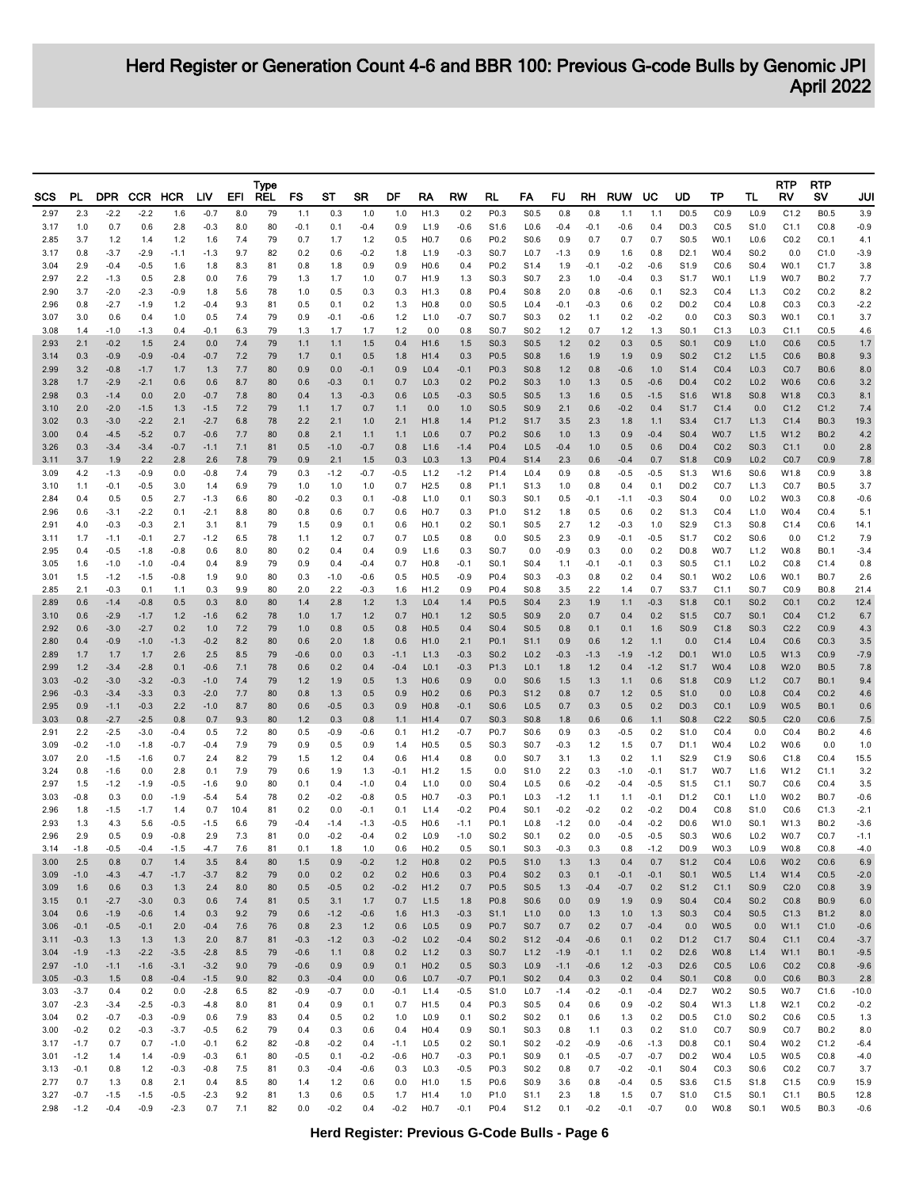| SCS          | PL               | <b>DPR</b>       |                  | CCR HCR          | LIV              | EFI        | Type<br><b>REL</b> | FS               | SТ            | SR               | DF             | RA                                   | RW            | RL                                   | FA                                   | FU               | RH               | <b>RUW</b>       | UC               | UD                                   | ТP           | TL                                   | RTP<br>RV                | <b>RTP</b><br>sv           | JUI               |
|--------------|------------------|------------------|------------------|------------------|------------------|------------|--------------------|------------------|---------------|------------------|----------------|--------------------------------------|---------------|--------------------------------------|--------------------------------------|------------------|------------------|------------------|------------------|--------------------------------------|--------------|--------------------------------------|--------------------------|----------------------------|-------------------|
| 2.97         | 2.3              | $-2.2$           | $-2.2$           | 1.6              | $-0.7$           | 8.0        | 79                 | 1.1              | 0.3           | 1.0              | 1.0            | H1.3                                 | 0.2           | P0.3                                 | S <sub>0.5</sub>                     | 0.8              | 0.8              | 1.1              | 1.1              | D <sub>0.5</sub>                     | CO.9         | L <sub>0.9</sub>                     | C1.2                     | <b>B0.5</b>                | 3.9               |
| 3.17         | 1.0              | 0.7              | 0.6              | 2.8              | $-0.3$           | 8.0        | 80                 | $-0.1$           | 0.1           | $-0.4$           | 0.9            | L1.9                                 | $-0.6$        | S1.6                                 | L <sub>0.6</sub>                     | $-0.4$           | $-0.1$           | $-0.6$           | 0.4              | D <sub>0.3</sub>                     | CO.5         | S1.0                                 | C1.1                     | CO.8                       | $-0.9$            |
| 2.85<br>3.17 | 3.7<br>0.8       | 1.2<br>$-3.7$    | 1.4<br>$-2.9$    | 1.2<br>-1.1      | 1.6<br>$-1.3$    | 7.4<br>9.7 | 79<br>82           | 0.7<br>0.2       | 1.7<br>0.6    | 1.2<br>$-0.2$    | 0.5<br>1.8     | H <sub>0.7</sub><br>L1.9             | 0.6<br>-0.3   | P0.2<br>S0.7                         | S0.6<br>L <sub>0.7</sub>             | 0.9<br>$-1.3$    | 0.7<br>0.9       | 0.7<br>1.6       | 0.7<br>0.8       | S <sub>0.5</sub><br>D <sub>2.1</sub> | W0.1<br>W0.4 | L <sub>0.6</sub><br>S0.2             | CO.2<br>0.0              | CO.1<br>C1.0               | 4.1<br>$-3.9$     |
| 3.04         | 2.9              | $-0.4$           | $-0.5$           | 1.6              | 1.8              | 8.3        | 81                 | 0.8              | 1.8           | 0.9              | 0.9            | H <sub>0.6</sub>                     | 0.4           | P <sub>0.2</sub>                     | S <sub>1.4</sub>                     | 1.9              | $-0.1$           | $-0.2$           | $-0.6$           | S <sub>1.9</sub>                     | CO.6         | S <sub>0.4</sub>                     | W0.1                     | C <sub>1.7</sub>           | 3.8               |
| 2.97         | 2.2              | $-1.3$           | 0.5              | 2.8              | 0.0              | 7.6        | 79                 | 1.3              | 1.7           | 1.0              | 0.7            | H1.9                                 | 1.3           | S <sub>0.3</sub>                     | S <sub>0.7</sub>                     | 2.3              | 1.0              | $-0.4$           | 0.3              | S <sub>1.7</sub>                     | W0.1         | L1.9                                 | W0.7                     | B <sub>0.2</sub>           | 7.7               |
| 2.90<br>2.96 | 3.7<br>0.8       | $-2.0$<br>$-2.7$ | $-2.3$<br>$-1.9$ | $-0.9$<br>1.2    | 1.8<br>$-0.4$    | 5.6<br>9.3 | 78<br>81           | 1.0<br>0.5       | 0.5<br>0.1    | 0.3<br>0.2       | 0.3<br>1.3     | H1.3<br>H <sub>0.8</sub>             | 0.8<br>0.0    | P0.4<br>S0.5                         | S0.8<br>L <sub>0.4</sub>             | 2.0<br>$-0.1$    | 0.8<br>$-0.3$    | $-0.6$<br>0.6    | 0.1<br>0.2       | S <sub>2.3</sub><br>D <sub>0.2</sub> | CO.4<br>CO.4 | L1.3<br>L <sub>0.8</sub>             | CO.2<br>CO.3             | CO.2<br>CO.3               | 8.2<br>$-2.2$     |
| 3.07         | 3.0              | 0.6              | 0.4              | 1.0              | 0.5              | 7.4        | 79                 | 0.9              | -0.1          | $-0.6$           | 1.2            | L1.0                                 | -0.7          | S0.7                                 | S0.3                                 | 0.2              | 1.1              | 0.2              | $-0.2$           | 0.0                                  | CO.3         | S <sub>0.3</sub>                     | W0.1                     | CO.1                       | 3.7               |
| 3.08         | 1.4              | $-1.0$           | $-1.3$           | 0.4              | $-0.1$           | 6.3        | 79                 | 1.3              | 1.7           | 1.7              | 1.2            | 0.0                                  | 0.8           | S0.7                                 | S <sub>0.2</sub>                     | 1.2              | 0.7              | 1.2              | 1.3              | S <sub>0.1</sub>                     | C1.3         | L <sub>0.3</sub>                     | C1.1                     | CO.5                       | 4.6               |
| 2.93<br>3.14 | 2.1<br>0.3       | $-0.2$<br>$-0.9$ | 1.5<br>$-0.9$    | 2.4<br>-0.4      | 0.0<br>$-0.7$    | 7.4<br>7.2 | 79<br>79           | 1.1<br>1.7       | 1.1<br>0.1    | 1.5<br>0.5       | 0.4<br>1.8     | H1.6<br>H1.4                         | 1.5<br>0.3    | S0.3<br>P0.5                         | S0.5<br>S0.8                         | $1.2$<br>1.6     | 0.2<br>1.9       | 0.3<br>1.9       | 0.5<br>0.9       | S <sub>0.1</sub><br>S <sub>0.2</sub> | CO.9<br>C1.2 | L1.0<br>L1.5                         | CO.6<br>CO.6             | CO.5<br><b>B0.8</b>        | 1.7<br>9.3        |
| 2.99         | 3.2              | $-0.8$           | $-1.7$           | 1.7              | 1.3              | 7.7        | 80                 | 0.9              | 0.0           | $-0.1$           | 0.9            | L <sub>0.4</sub>                     | $-0.1$        | P <sub>0.3</sub>                     | S <sub>0.8</sub>                     | $1.2$            | 0.8              | $-0.6$           | 1.0              | S <sub>1.4</sub>                     | CO.4         | L <sub>0.3</sub>                     | CO.7                     | <b>B0.6</b>                | 8.0               |
| 3.28<br>2.98 | 1.7<br>0.3       | $-2.9$<br>$-1.4$ | $-2.1$<br>0.0    | 0.6<br>2.0       | 0.6<br>$-0.7$    | 8.7<br>7.8 | 80<br>80           | 0.6<br>0.4       | $-0.3$        | 0.1<br>$-0.3$    | 0.7            | L <sub>0.3</sub><br>L <sub>0.5</sub> | 0.2<br>-0.3   | P <sub>0.2</sub><br>S <sub>0.5</sub> | S <sub>0.3</sub><br>S <sub>0.5</sub> | 1.0<br>1.3       | 1.3              | 0.5              | $-0.6$           | D <sub>0.4</sub><br>S <sub>1.6</sub> | CO.2<br>W1.8 | L <sub>0.2</sub><br>S <sub>0.8</sub> | W0.6<br>W1.8             | CO.6<br>CO.3               | 3.2<br>8.1        |
| 3.10         | 2.0              | $-2.0$           | $-1.5$           | 1.3              | $-1.5$           | 7.2        | 79                 | 1.1              | 1.3<br>1.7    | 0.7              | 0.6<br>1.1     | 0.0                                  | 1.0           | S0.5                                 | S0.9                                 | 2.1              | 1.6<br>0.6       | 0.5<br>$-0.2$    | $-1.5$<br>0.4    | S <sub>1.7</sub>                     | C1.4         | 0.0                                  | C1.2                     | C1.2                       | 7.4               |
| 3.02         | 0.3              | $-3.0$           | $-2.2$           | 2.1              | $-2.7$           | 6.8        | 78                 | 2.2              | 2.1           | 1.0              | 2.1            | H <sub>1.8</sub>                     | 1.4           | P1.2                                 | S <sub>1.7</sub>                     | 3.5              | 2.3              | 1.8              | 1.1              | S3.4                                 | C1.7         | L1.3                                 | C1.4                     | <b>B0.3</b>                | 19.3              |
| 3.00<br>3.26 | 0.4<br>0.3       | $-4.5$<br>$-3.4$ | $-5.2$<br>$-3.4$ | 0.7<br>-0.7      | $-0.6$<br>$-1.1$ | 7.7<br>7.1 | 80<br>81           | 0.8<br>0.5       | 2.1<br>$-1.0$ | 1.1<br>$-0.7$    | 1.1<br>0.8     | L <sub>0.6</sub><br>L1.6             | 0.7<br>$-1.4$ | P <sub>0.2</sub><br>P <sub>0.4</sub> | S <sub>0.6</sub><br>L <sub>0.5</sub> | 1.0<br>$-0.4$    | 1.3<br>1.0       | 0.9<br>0.5       | $-0.4$<br>0.6    | S <sub>0.4</sub><br>D <sub>0.4</sub> | W0.7<br>CO.2 | L1.5<br>S <sub>0.3</sub>             | W1.2<br>C1.1             | B <sub>0.2</sub><br>0.0    | 4.2<br>2.8        |
| 3.11         | 3.7              | 1.9              | 2.2              | 2.8              | 2.6              | 7.8        | 79                 | 0.9              | 2.1           | 1.5              | 0.3            | L <sub>0.3</sub>                     | 1.3           | P <sub>0.4</sub>                     | S <sub>1.4</sub>                     | 2.3              | 0.6              | $-0.4$           | 0.7              | S <sub>1.8</sub>                     | CO.9         | L <sub>0.2</sub>                     | CO.7                     | CO.9                       | 7.8               |
| 3.09         | 4.2              | $-1.3$           | $-0.9$           | 0.0              | $-0.8$           | 7.4        | 79                 | 0.3              | $-1.2$        | $-0.7$           | $-0.5$         | L1.2                                 | $-1.2$        | P1.4                                 | L <sub>0.4</sub>                     | 0.9              | 0.8              | $-0.5$           | $-0.5$           | S <sub>1.3</sub>                     | W1.6         | S0.6                                 | W1.8                     | CO.9                       | 3.8               |
| 3.10<br>2.84 | 1.1<br>0.4       | $-0.1$<br>0.5    | $-0.5$<br>0.5    | 3.0<br>2.7       | 1.4<br>$-1.3$    | 6.9<br>6.6 | 79<br>80           | 1.0<br>$-0.2$    | 1.0<br>0.3    | 1.0<br>0.1       | 0.7<br>-0.8    | H2.5<br>L1.0                         | 0.8<br>0.1    | P1.1<br>S <sub>0.3</sub>             | S <sub>1.3</sub><br>S <sub>0.1</sub> | 1.0<br>0.5       | 0.8<br>$-0.1$    | 0.4<br>$-1.1$    | 0.1<br>$-0.3$    | D <sub>0.2</sub><br>S <sub>0.4</sub> | CO.7<br>0.0  | L1.3<br>L <sub>0.2</sub>             | CO.7<br>W0.3             | B0.5<br>CO.8               | 3.7<br>$-0.6$     |
| 2.96         | 0.6              | $-3.1$           | $-2.2$           | 0.1              | $-2.1$           | 8.8        | 80                 | 0.8              | 0.6           | 0.7              | 0.6            | H <sub>0.7</sub>                     | 0.3           | P1.0                                 | S <sub>1.2</sub>                     | 1.8              | 0.5              | 0.6              | 0.2              | S <sub>1.3</sub>                     | CO.4         | L1.0                                 | W0.4                     | CO.4                       | 5.1               |
| 2.91         | 4.0              | $-0.3$           | $-0.3$           | 2.1              | 3.1              | 8.1        | 79                 | 1.5              | 0.9           | 0.1              | 0.6            | H0.1                                 | 0.2           | S0.1                                 | S0.5                                 | 2.7              | 1.2              | $-0.3$           | 1.0              | S2.9                                 | C1.3         | S0.8                                 | C1.4                     | CO.6                       | 14.1              |
| 3.11<br>2.95 | 1.7<br>0.4       | $-1.1$<br>$-0.5$ | $-0.1$<br>$-1.8$ | 2.7<br>$-0.8$    | $-1.2$<br>0.6    | 6.5<br>8.0 | 78<br>80           | 1.1<br>0.2       | 1.2<br>0.4    | 0.7<br>0.4       | 0.7<br>0.9     | L <sub>0.5</sub><br>L1.6             | 0.8<br>0.3    | 0.0<br>S0.7                          | S0.5<br>0.0                          | 2.3<br>$-0.9$    | 0.9<br>0.3       | $-0.1$<br>0.0    | $-0.5$<br>0.2    | S <sub>1.7</sub><br>D <sub>0.8</sub> | CO.2<br>W0.7 | S0.6<br>L1.2                         | 0.0<br>W0.8              | C1.2<br>B0.1               | 7.9<br>$-3.4$     |
| 3.05         | 1.6              | $-1.0$           | $-1.0$           | -0.4             | 0.4              | 8.9        | 79                 | 0.9              | 0.4           | $-0.4$           | 0.7            | H <sub>0.8</sub>                     | $-0.1$        | S0.1                                 | S <sub>0.4</sub>                     | 1.1              | $-0.1$           | $-0.1$           | 0.3              | S <sub>0.5</sub>                     | C1.1         | L <sub>0.2</sub>                     | CO.8                     | C1.4                       | 0.8               |
| 3.01<br>2.85 | 1.5<br>2.1       | $-1.2$<br>$-0.3$ | $-1.5$<br>0.1    | -0.8<br>1.1      | 1.9<br>0.3       | 9.0<br>9.9 | 80<br>80           | 0.3<br>2.0       | $-1.0$<br>2.2 | $-0.6$<br>$-0.3$ | 0.5<br>1.6     | H0.5<br>H <sub>1.2</sub>             | $-0.9$<br>0.9 | P0.4<br>P0.4                         | S0.3<br>S <sub>0.8</sub>             | $-0.3$<br>3.5    | 0.8<br>2.2       | 0.2<br>1.4       | 0.4<br>0.7       | S <sub>0.1</sub><br>S3.7             | W0.2<br>C1.1 | L <sub>0.6</sub><br>S <sub>0.7</sub> | W0.1<br>CO.9             | <b>B0.7</b><br><b>B0.8</b> | 2.6<br>21.4       |
| 2.89         | 0.6              | $-1.4$           | $-0.8$           | 0.5              | 0.3              | 8.0        | 80                 | 1.4              | 2.8           | 1.2              | 1.3            | L <sub>0.4</sub>                     | 1.4           | P <sub>0.5</sub>                     | S <sub>0.4</sub>                     | 2.3              | 1.9              | 1.1              | $-0.3$           | S <sub>1.8</sub>                     | CO.1         | S <sub>0.2</sub>                     | CO.1                     | CO.2                       | 12.4              |
| 3.10         | 0.6              | $-2.9$           | $-1.7$           | 1.2              | $-1.6$           | 6.2        | 78                 | 1.0              | 1.7           | 1.2              | 0.7            | H <sub>0.1</sub>                     | $1.2$         | S <sub>0.5</sub>                     | S0.9                                 | 2.0              | 0.7              | 0.4              | 0.2              | S <sub>1.5</sub>                     | CO.7         | S <sub>0.1</sub>                     | CO.4                     | C1.2                       | 6.7               |
| 2.92<br>2.80 | 0.6<br>0.4       | $-3.0$<br>$-0.9$ | $-2.7$<br>$-1.0$ | 0.2<br>$-1.3$    | 1.0<br>$-0.2$    | 7.2<br>8.2 | 79<br>80           | 1.0<br>0.6       | 0.8<br>2.0    | 0.5<br>1.8       | 0.8<br>0.6     | H0.5<br>H1.0                         | 0.4<br>2.1    | S <sub>0.4</sub><br>P <sub>0.1</sub> | S0.5<br>S1.1                         | 0.8<br>0.9       | 0.1<br>0.6       | 0.1<br>1.2       | 1.6<br>1.1       | S <sub>0.9</sub><br>0.0              | C1.8<br>C1.4 | S <sub>0.3</sub><br>L <sub>0.4</sub> | C <sub>2.2</sub><br>CO.6 | CO.9<br>CO.3               | 4.3<br>3.5        |
| 2.89         | 1.7              | 1.7              | 1.7              | 2.6              | 2.5              | 8.5        | 79                 | $-0.6$           | 0.0           | 0.3              | $-1.1$         | L1.3                                 | $-0.3$        | S <sub>0.2</sub>                     | L <sub>0.2</sub>                     | $-0.3$           | $-1.3$           | $-1.9$           | $-1.2$           | D <sub>0.1</sub>                     | W1.0         | L <sub>0.5</sub>                     | W <sub>1.3</sub>         | CO.9                       | $-7.9$            |
| 2.99         | 1.2              | $-3.4$           | $-2.8$           | 0.1              | $-0.6$           | 7.1        | 78                 | 0.6              | 0.2           | 0.4              | $-0.4$         | L <sub>0.1</sub>                     | $-0.3$        | P1.3                                 | L <sub>0.1</sub>                     | 1.8              | $1.2$            | 0.4              | $-1.2$           | S <sub>1.7</sub>                     | W0.4         | L <sub>0.8</sub>                     | W2.0                     | <b>B0.5</b>                | 7.8               |
| 3.03<br>2.96 | $-0.2$<br>$-0.3$ | $-3.0$<br>$-3.4$ | $-3.2$<br>$-3.3$ | $-0.3$<br>0.3    | $-1.0$<br>$-2.0$ | 7.4<br>7.7 | 79<br>80           | 1.2<br>0.8       | 1.9<br>1.3    | 0.5<br>0.5       | 1.3<br>0.9     | H0.6<br>H <sub>0.2</sub>             | 0.9<br>0.6    | 0.0<br>P <sub>0.3</sub>              | S <sub>0.6</sub><br>S <sub>1.2</sub> | 1.5<br>0.8       | 1.3<br>0.7       | 1.1<br>1.2       | 0.6<br>0.5       | S <sub>1.8</sub><br>S <sub>1.0</sub> | CO.9<br>0.0  | L1.2<br>L <sub>0.8</sub>             | CO.7<br>CO.4             | B <sub>0.1</sub><br>CO.2   | 9.4<br>4.6        |
| 2.95         | 0.9              | $-1.1$           | $-0.3$           | 2.2              | $-1.0$           | 8.7        | 80                 | 0.6              | $-0.5$        | 0.3              | 0.9            | H <sub>0.8</sub>                     | $-0.1$        | S <sub>0.6</sub>                     | L <sub>0.5</sub>                     | 0.7              | 0.3              | 0.5              | 0.2              | D <sub>0.3</sub>                     | CO.1         | L <sub>0.9</sub>                     | W0.5                     | <b>B0.1</b>                | 0.6               |
| 3.03<br>2.91 | 0.8<br>2.2       | $-2.7$<br>$-2.5$ | $-2.5$           | 0.8              | 0.7              | 9.3        | 80<br>80           | 1.2<br>0.5       | 0.3<br>-0.9   | 0.8<br>$-0.6$    | 1.1            | H1.4<br>H1.2                         | 0.7<br>-0.7   | S <sub>0.3</sub><br>P0.7             | S <sub>0.8</sub><br>S0.6             | 1.8<br>0.9       | 0.6<br>0.3       | 0.6<br>$-0.5$    | 1.1<br>0.2       | S <sub>0.8</sub><br>S <sub>1.0</sub> | C2.2<br>CO.4 | S <sub>0.5</sub><br>0.0              | C <sub>2.0</sub><br>CO.4 | CO.6<br>B0.2               | 7.5<br>4.6        |
| 3.09         | $-0.2$           | $-1.0$           | $-3.0$<br>$-1.8$ | -0.4<br>-0.7     | 0.5<br>$-0.4$    | 7.2<br>7.9 | 79                 | 0.9              | 0.5           | 0.9              | 0.1<br>1.4     | H0.5                                 | 0.5           | S0.3                                 | S <sub>0.7</sub>                     | $-0.3$           | 1.2              | 1.5              | 0.7              | D1.1                                 | W0.4         | L <sub>0.2</sub>                     | W0.6                     | 0.0                        | 1.0               |
| 3.07         | 2.0              | $-1.5$           | $-1.6$           | 0.7              | 2.4              | 8.2        | 79                 | 1.5              | $1.2$         | 0.4              | 0.6            | H <sub>1.4</sub>                     | 0.8           | 0.0                                  | S <sub>0.7</sub>                     | 3.1              | 1.3              | 0.2              | 1.1              | S <sub>2.9</sub>                     | C1.9         | S <sub>0.6</sub>                     | C1.8                     | CO.4                       | 15.5              |
| 3.24<br>2.97 | 0.8<br>1.5       | $-1.6$<br>$-1.2$ | 0.0<br>$-1.9$    | 2.8<br>-0.5      | 0.1<br>$-1.6$    | 7.9<br>9.0 | 79<br>80           | 0.6<br>0.1       | 1.9<br>0.4    | 1.3<br>$-1.0$    | $-0.1$<br>0.4  | H <sub>1.2</sub><br>L1.0             | 1.5<br>0.0    | 0.0<br>S0.4                          | S1.0<br>L <sub>0.5</sub>             | 2.2<br>0.6       | 0.3<br>$-0.2$    | $-1.0$<br>$-0.4$ | $-0.1$<br>$-0.5$ | S <sub>1.7</sub><br>S <sub>1.5</sub> | W0.7<br>C1.1 | L1.6<br>S0.7                         | W1.2<br>CO.6             | C1.1<br>CO.4               | 3.2<br>3.5        |
| 3.03         | $-0.8$           | 0.3              | 0.0              | -1.9             | $-5.4$           | 5.4        | 78                 | 0.2              | -0.2          | $-0.8$           | 0.5            | H <sub>0.7</sub>                     | -0.3          | P0.1                                 | L <sub>0.3</sub>                     | $-1.2$           | 1.1              | 1.1              | $-0.1$           | D <sub>1.2</sub>                     | CO.1         | L1.0                                 | W0.2                     | <b>B0.7</b>                | $-0.6$            |
| 2.96         | 1.8              | $-1.5$           | $-1.7$           | 1.4              | 0.7              | 10.4       | 81                 | 0.2              | 0.0           | $-0.1$           | 0.1            | L1.4                                 | $-0.2$        | P <sub>0.4</sub>                     | S <sub>0.1</sub>                     | $-0.2$           | $-0.2$           | 0.2              | $-0.2$           | D <sub>0.4</sub>                     | CO.8         | S <sub>1.0</sub>                     | CO.6                     | C1.3                       | $-2.1$            |
| 2.93         | 1.3              | 4.3              | 5.6              | $-0.5$           | $-1.5$           | 6.6        | 79<br>81           | $-0.4$           | -1.4          | $-1.3$           | $-0.5$         | H <sub>0.6</sub>                     | $-1.1$        | P <sub>0.1</sub>                     | L <sub>0.8</sub>                     | $-1.2$           | 0.0              | $-0.4$           | $-0.2$           | D <sub>0.6</sub>                     | W1.0         | S <sub>0.1</sub>                     | W1.3                     | B <sub>0.2</sub>           | $-3.6$            |
| 2.96<br>3.14 | 2.9<br>$-1.8$    | 0.5<br>$-0.5$    | 0.9<br>-0.4      | $-0.8$<br>$-1.5$ | 2.9<br>-4.7      | 7.3<br>7.6 | 81                 | 0.0<br>0.1       | $-0.2$<br>1.8 | $-0.4$<br>1.0    | 0.2<br>0.6     | L <sub>0.9</sub><br>H <sub>0.2</sub> | $-1.0$<br>0.5 | S <sub>0.2</sub><br>S0.1             | S <sub>0.1</sub><br>S <sub>0.3</sub> | 0.2<br>$-0.3$    | 0.0<br>0.3       | $-0.5$<br>0.8    | $-0.5$<br>$-1.2$ | S <sub>0.3</sub><br>D <sub>0.9</sub> | W0.6<br>W0.3 | L <sub>0.2</sub><br>L <sub>0.9</sub> | W0.7<br>W0.8             | CO.7<br>CO.8               | $-1.1$<br>$-4.0$  |
| 3.00         | 2.5              | 0.8              | 0.7              | 1.4              | 3.5              | 8.4        | 80                 | 1.5              | 0.9           | $-0.2$           | $1.2$          | H <sub>0.8</sub>                     | 0.2           | P0.5                                 | S1.0                                 | 1.3              | 1.3              | 0.4              | 0.7              | S <sub>1.2</sub>                     | CO.4         | L <sub>0.6</sub>                     | W0.2                     | CO.6                       | 6.9               |
| 3.09         | $-1.0$           | $-4.3$           | $-4.7$           | $-1.7$           | $-3.7$           | 8.2        | 79                 | 0.0              | 0.2           | 0.2              | 0.2            | H0.6                                 | 0.3           | P <sub>0.4</sub>                     | S0.2                                 | 0.3              | 0.1              | $-0.1$           | $-0.1$           | S <sub>0.1</sub>                     | W0.5         | L1.4                                 | W1.4                     | CO.5                       | $-2.0$            |
| 3.09<br>3.15 | 1.6<br>0.1       | 0.6<br>$-2.7$    | 0.3<br>$-3.0$    | 1.3<br>0.3       | 2.4<br>0.6       | 8.0<br>7.4 | 80<br>81           | 0.5<br>0.5       | $-0.5$<br>3.1 | 0.2<br>1.7       | $-0.2$<br>0.7  | H1.2<br>L1.5                         | 0.7<br>1.8    | P <sub>0.5</sub><br>P0.8             | S0.5<br>S0.6                         | 1.3<br>0.0       | $-0.4$<br>0.9    | $-0.7$<br>1.9    | 0.2<br>0.9       | S <sub>1.2</sub><br>S <sub>0.4</sub> | C1.1<br>CO.4 | S0.9<br>S <sub>0.2</sub>             | C2.0<br>CO.8             | CO.8<br>B0.9               | 3.9<br>6.0        |
| 3.04         | 0.6              | $-1.9$           | $-0.6$           | 1.4              | 0.3              | 9.2        | 79                 | 0.6              | $-1.2$        | $-0.6$           | 1.6            | H1.3                                 | $-0.3$        | S1.1                                 | L1.0                                 | 0.0              | 1.3              | 1.0              | 1.3              | S <sub>0.3</sub>                     | CO.4         | S <sub>0.5</sub>                     | C1.3                     | <b>B1.2</b>                | 8.0               |
| 3.06         | $-0.1$           | $-0.5$           | $-0.1$           | 2.0              | $-0.4$           | 7.6        | 76                 | 0.8              | 2.3           | $1.2$            | 0.6            | L <sub>0.5</sub>                     | 0.9           | P <sub>0.7</sub>                     | S <sub>0.7</sub>                     | 0.7              | 0.2              | 0.7              | $-0.4$           | 0.0                                  | W0.5         | 0.0                                  | W1.1                     | C1.0                       | $-0.6$            |
| 3.11<br>3.04 | $-0.3$<br>$-1.9$ | 1.3<br>$-1.3$    | 1.3<br>$-2.2$    | 1.3<br>$-3.5$    | 2.0<br>$-2.8$    | 8.7<br>8.5 | 81<br>79           | $-0.3$<br>$-0.6$ | $-1.2$<br>1.1 | 0.3<br>0.8       | $-0.2$<br>0.2  | L <sub>0.2</sub><br>L1.2             | $-0.4$<br>0.3 | S0.2<br>S0.7                         | S <sub>1.2</sub><br>L1.2             | $-0.4$<br>$-1.9$ | $-0.6$<br>$-0.1$ | 0.1<br>1.1       | 0.2<br>0.2       | D <sub>1.2</sub><br>D <sub>2.6</sub> | C1.7<br>W0.8 | S0.4<br>L1.4                         | C1.1<br>W1.1             | CO.4<br><b>B0.1</b>        | $-3.7$<br>$-9.5$  |
| 2.97         | $-1.0$           | $-1.1$           | $-1.6$           | $-3.1$           | $-3.2$           | 9.0        | 79                 | $-0.6$           | 0.9           | 0.9              | 0.1            | H <sub>0.2</sub>                     | 0.5           | S0.3                                 | L <sub>0.9</sub>                     | $-1.1$           | $-0.6$           | 1.2              | $-0.3$           | D <sub>2.6</sub>                     | CO.5         | L <sub>0.6</sub>                     | CO.2                     | CO.8                       | $-9.6$            |
| 3.05         | $-0.3$           | 1.5              | 0.8              | $-0.4$           | $-1.5$           | 9.0        | 82                 | 0.3              | $-0.4$        | 0.0              | 0.6            | L <sub>0.7</sub>                     | $-0.7$        | P <sub>0.1</sub>                     | S <sub>0.2</sub>                     | 0.4              | 0.3              | 0.2              | 0.4              | S <sub>0.1</sub>                     | CO.8         | 0.0                                  | CO.6                     | <b>B0.3</b>                | 2.8               |
| 3.03<br>3.07 | $-3.7$<br>$-2.3$ | 0.4<br>$-3.4$    | 0.2<br>$-2.5$    | 0.0<br>$-0.3$    | $-2.8$<br>$-4.8$ | 6.5<br>8.0 | 82<br>81           | $-0.9$<br>0.4    | $-0.7$<br>0.9 | 0.0<br>0.1       | -0.1<br>0.7    | L1.4<br>H1.5                         | $-0.5$<br>0.4 | S1.0<br>P0.3                         | L <sub>0.7</sub><br>S0.5             | $-1.4$<br>0.4    | $-0.2$<br>0.6    | $-0.1$<br>0.9    | $-0.4$<br>$-0.2$ | D <sub>2.7</sub><br>S <sub>0.4</sub> | W0.2<br>W1.3 | S0.5<br>L1.8                         | W0.7<br>W2.1             | C1.6<br>CO.2               | $-10.0$<br>$-0.2$ |
| 3.04         | 0.2              | $-0.7$           | $-0.3$           | $-0.9$           | 0.6              | 7.9        | 83                 | 0.4              | 0.5           | 0.2              | 1.0            | L <sub>0.9</sub>                     | 0.1           | S <sub>0.2</sub>                     | S <sub>0.2</sub>                     | 0.1              | 0.6              | 1.3              | 0.2              | D <sub>0.5</sub>                     | C1.0         | S0.2                                 | CO.6                     | CO.5                       | 1.3               |
| 3.00         | $-0.2$           | 0.2              | $-0.3$           | $-3.7$           | $-0.5$           | 6.2        | 79                 | 0.4              | 0.3           | 0.6              | 0.4            | H0.4                                 | 0.9           | S0.1                                 | S <sub>0.3</sub>                     | 0.8              | 1.1              | 0.3              | 0.2              | S <sub>1.0</sub>                     | CO.7         | S0.9                                 | C <sub>0.7</sub>         | B <sub>0.2</sub>           | 8.0               |
| 3.17<br>3.01 | $-1.7$<br>$-1.2$ | 0.7<br>1.4       | 0.7<br>1.4       | $-1.0$<br>$-0.9$ | $-0.1$<br>$-0.3$ | 6.2<br>6.1 | 82<br>80           | $-0.8$<br>$-0.5$ | $-0.2$<br>0.1 | 0.4<br>$-0.2$    | $-1.1$<br>-0.6 | L <sub>0.5</sub><br>H <sub>0.7</sub> | 0.2<br>$-0.3$ | S0.1<br>P0.1                         | S0.2<br>S <sub>0.9</sub>             | $-0.2$<br>0.1    | $-0.9$<br>$-0.5$ | $-0.6$<br>$-0.7$ | $-1.3$<br>$-0.7$ | D <sub>0.8</sub><br>D <sub>0.2</sub> | CO.1<br>W0.4 | S0.4<br>L <sub>0.5</sub>             | W0.2<br>W0.5             | C1.2<br>CO.8               | $-6.4$<br>$-4.0$  |
| 3.13         | $-0.1$           | 0.8              | $1.2$            | $-0.3$           | $-0.8$           | 7.5        | 81                 | 0.3              | $-0.4$        | $-0.6$           | 0.3            | L <sub>0.3</sub>                     | $-0.5$        | P0.3                                 | S <sub>0.2</sub>                     | 0.8              | 0.7              | $-0.2$           | $-0.1$           | S <sub>0.4</sub>                     | CO.3         | S0.6                                 | CO.2                     | CO.7                       | 3.7               |
| 2.77         | 0.7              | 1.3              | 0.8              | 2.1              | 0.4              | 8.5        | 80                 | 1.4              | $1.2$         | 0.6              | 0.0            | H <sub>1.0</sub>                     | 1.5           | P0.6                                 | S <sub>0.9</sub>                     | 3.6              | 0.8              | $-0.4$           | 0.5              | S3.6                                 | C1.5         | S <sub>1.8</sub>                     | C1.5                     | CO.9                       | 15.9              |
| 3.27<br>2.98 | $-0.7$<br>$-1.2$ | $-1.5$<br>$-0.4$ | $-1.5$<br>$-0.9$ | $-0.5$<br>$-2.3$ | $-2.3$<br>0.7    | 9.2<br>7.1 | 81<br>82           | 1.3<br>0.0       | 0.6<br>-0.2   | 0.5<br>0.4       | 1.7<br>$-0.2$  | H <sub>1.4</sub><br>H <sub>0.7</sub> | 1.0<br>$-0.1$ | P1.0<br>P <sub>0.4</sub>             | S <sub>1.1</sub><br>S <sub>1.2</sub> | 2.3<br>0.1       | 1.8<br>$-0.2$    | 1.5<br>$-0.1$    | 0.7<br>$-0.7$    | S1.0<br>0.0                          | C1.5<br>W0.8 | S0.1<br>S0.1                         | C1.1<br>W0.5             | B0.5<br>B0.3               | 12.8<br>$-0.6$    |
|              |                  |                  |                  |                  |                  |            |                    |                  |               |                  |                |                                      |               |                                      |                                      |                  |                  |                  |                  |                                      |              |                                      |                          |                            |                   |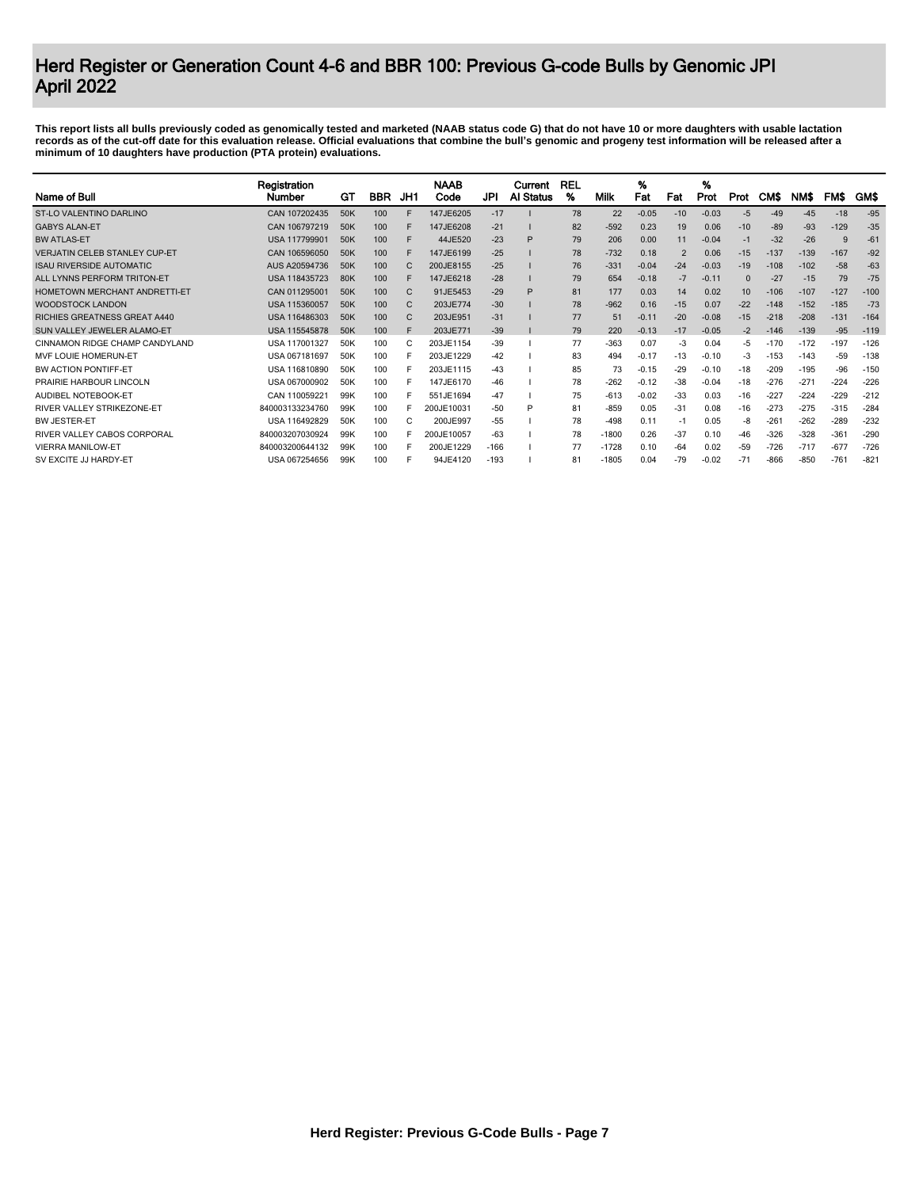| Name of Bull                         | Registration<br>Number | GТ              | <b>BBR</b> | JH1 | <b>NAAB</b><br>Code | JPI    | Current<br>Al Status | <b>REL</b><br>% | Milk    | %<br>Fat | Fat                     | %<br>Prot | Prot  | <b>CMS</b> | NM\$   | <b>FMS</b> | GM\$   |
|--------------------------------------|------------------------|-----------------|------------|-----|---------------------|--------|----------------------|-----------------|---------|----------|-------------------------|-----------|-------|------------|--------|------------|--------|
| ST-LO VALENTINO DARLINO              | CAN 107202435          | 50K             | 100        | F   | 147JE6205           | $-17$  |                      | 78              | 22      | $-0.05$  | $-10$                   | $-0.03$   | $-5$  | $-49$      | $-45$  | $-18$      | $-95$  |
| <b>GABYS ALAN-ET</b>                 | CAN 106797219          | 50K             | 100        | F   | 147JE6208           | $-21$  |                      | 82              | $-592$  | 0.23     | 19                      | 0.06      | $-10$ | -89        | $-93$  | $-129$     | $-35$  |
| <b>BW ATLAS-ET</b>                   | USA 117799901          | 50K             | 100        | F   | 44JE520             | $-23$  | P                    | 79              | 206     | 0.00     | 11                      | $-0.04$   | -1    | $-32$      | $-26$  | 9          | $-61$  |
| <b>VERJATIN CELEB STANLEY CUP-ET</b> | CAN 106596050          | 50K             | 100        |     | 147JE6199           | $-25$  |                      | 78              | $-732$  | 0.18     | $\overline{\mathbf{c}}$ | 0.06      | $-15$ | $-137$     | $-139$ | $-167$     | $-92$  |
| <b>ISAU RIVERSIDE AUTOMATIC</b>      | AUS A20594736          | 50K             | 100        |     | 200JE8155           | $-25$  |                      | 76              | $-331$  | $-0.04$  | $-24$                   | $-0.03$   | $-19$ | $-108$     | $-102$ | $-58$      | $-63$  |
| ALL LYNNS PERFORM TRITON-ET          | USA 118435723          | 80K             | 100        |     | 147JE6218           | $-28$  |                      | 79              | 654     | $-0.18$  | $-7$                    | $-0.1$    |       | $-27$      | $-15$  | 79         | $-75$  |
| HOMETOWN MERCHANT ANDRETTI-ET        | CAN 011295001          | 50K             | 100        | C   | 91JE5453            | $-29$  | P                    | 81              | 177     | 0.03     | 14                      | 0.02      | 10    | $-106$     | $-107$ | $-127$     | $-100$ |
| <b>WOODSTOCK LANDON</b>              | USA 115360057          | 50K             | 100        | C   | 203JE774            | $-30$  |                      | 78              | $-962$  | 0.16     | $-15$                   | 0.07      | $-22$ | $-148$     | $-152$ | $-185$     | $-73$  |
| <b>RICHIES GREATNESS GREAT A440</b>  | USA 116486303          | 50K             | 100        | C   | 203JE951            | $-31$  |                      | 77              | 51      | $-0.11$  | $-20$                   | $-0.08$   | $-15$ | $-218$     | $-208$ | $-131$     | $-164$ |
| SUN VALLEY JEWELER ALAMO-ET          | USA 115545878          | 50K             | 100        | F   | 203JE771            | $-39$  |                      | 79              | 220     | $-0.13$  | $-17$                   | $-0.05$   | $-2$  | $-146$     | $-139$ | $-95$      | $-119$ |
| CINNAMON RIDGE CHAMP CANDYLAND       | USA 117001327          | 50K             | 100        | C   | 203JE1154           | $-39$  |                      | 77              | $-363$  | 0.07     | -3                      | 0.04      | $-5$  | $-170$     | $-172$ | $-197$     | $-126$ |
| MVF LOUIE HOMERUN-ET                 | USA 067181697          | 50K             | 100        |     | 203JE1229           | $-42$  |                      | 83              | 494     | $-0.17$  | $-13$                   | $-0.10$   | -3    | $-153$     | $-143$ | $-59$      | $-138$ |
| BW ACTION PONTIFF-ET                 | USA 116810890          | 50K             | 100        |     | 203JE1115           | $-43$  |                      | 85              | 73      | $-0.15$  | $-29$                   | $-0.10$   | $-18$ | $-209$     | $-195$ | -96        | $-150$ |
| PRAIRIE HARBOUR LINCOLN              | USA 067000902          | 50K             | 100        |     | 147JE6170           | $-46$  |                      | 78              | $-262$  | $-0.12$  | $-38$                   | $-0.04$   | $-18$ | $-276$     | $-27$  | $-224$     | $-226$ |
| AUDIBEL NOTEBOOK-ET                  | CAN 110059221          | 99K             | 100        |     | 551JE1694           | $-47$  |                      | 75              | $-613$  | $-0.02$  | -33                     | 0.03      | $-16$ | $-22^{-}$  | $-224$ | $-229$     | $-212$ |
| RIVER VALLEY STRIKEZONE-ET           | 840003133234760        | 99K             | 100        |     | 200JE10031          | $-50$  | P                    | 81              | $-859$  | 0.05     | $-31$                   | 0.08      | $-16$ | $-273$     | $-275$ | $-315$     | $-284$ |
| BW JESTER-FT                         | USA 116492829          | 50K             | 100        | C   | 200JE997            | $-55$  |                      | 78              | $-498$  | 0.11     | -1                      | 0.05      | -8    | $-261$     | $-262$ | $-289$     | $-232$ |
| RIVER VALLEY CABOS CORPORAL          | 840003207030924        | 99K             | 100        |     | 200JE10057          | $-63$  |                      | 78              | $-1800$ | 0.26     | -37                     | 0.10      | $-46$ | $-326$     | $-328$ | $-361$     | $-290$ |
| <b>VIERRA MANILOW-ET</b>             | 840003200644132        | 99K             | 100        |     | 200JE1229           | $-166$ |                      | 77              | $-1728$ | 0.10     | $-64$                   | 0.02      | $-59$ | $-726$     | $-717$ | $-677$     | $-726$ |
| SV EXCITE JJ HARDY-ET                | USA 067254656          | 99 <sub>K</sub> | 100        |     | 94JE4120            | $-193$ |                      | 81              | $-1805$ | 0.04     | $-79$                   | $-0.02$   | $-71$ | $-866$     | $-850$ | $-761$     | $-82$  |